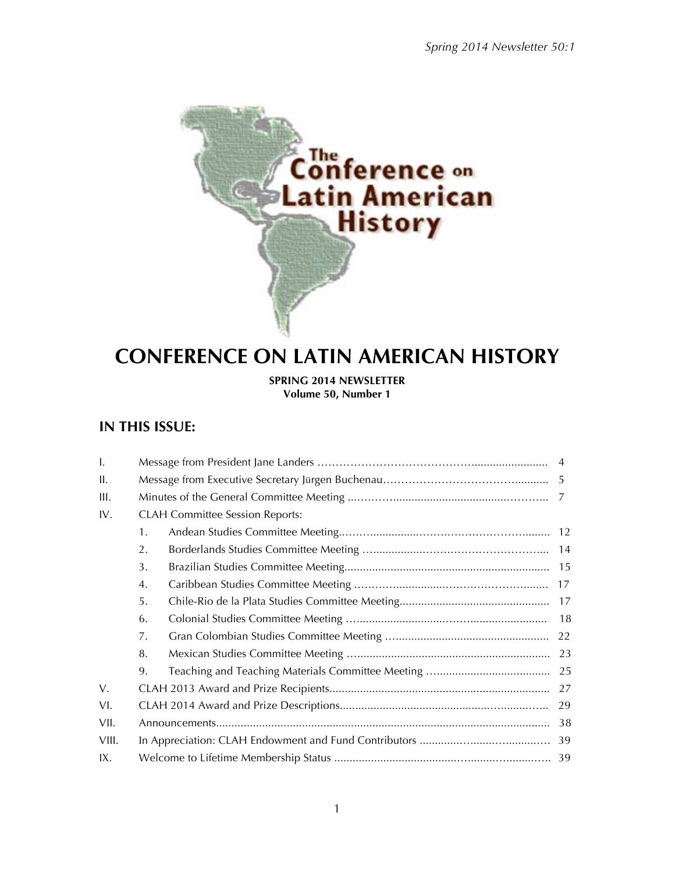

# **CONFERENCE ON LATIN AMERICAN HISTORY**

**SPRING 2014 NEWSLETTER Volume 50, Number 1**

## **IN THIS ISSUE:**

| $\mathbf{I}$ . |    |                                        |  |  |  |  |
|----------------|----|----------------------------------------|--|--|--|--|
| Ш.             |    |                                        |  |  |  |  |
| III.           |    |                                        |  |  |  |  |
| IV.            |    | <b>CLAH Committee Session Reports:</b> |  |  |  |  |
|                | 1. |                                        |  |  |  |  |
|                | 2. |                                        |  |  |  |  |
|                | 3. |                                        |  |  |  |  |
|                | 4. |                                        |  |  |  |  |
|                | 5. |                                        |  |  |  |  |
|                | 6. |                                        |  |  |  |  |
|                | 7. |                                        |  |  |  |  |
|                | 8. |                                        |  |  |  |  |
|                | 9. |                                        |  |  |  |  |
| V.             |    |                                        |  |  |  |  |
| VI.            | 29 |                                        |  |  |  |  |
| VII.           | 38 |                                        |  |  |  |  |
| VIII.          |    |                                        |  |  |  |  |
| IX.            |    |                                        |  |  |  |  |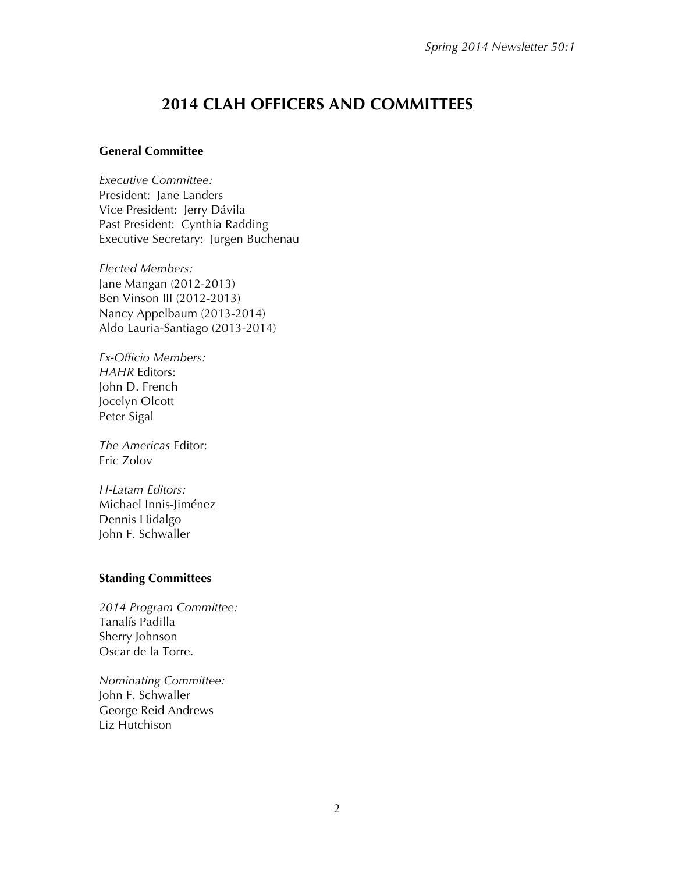## **2014 CLAH OFFICERS AND COMMITTEES**

#### **General Committee**

*Executive Committee:* President: Jane Landers Vice President: Jerry Dávila Past President: Cynthia Radding Executive Secretary: Jurgen Buchenau

*Elected Members:* Jane Mangan (2012-2013) Ben Vinson III (2012-2013) Nancy Appelbaum (2013-2014) Aldo Lauria-Santiago (2013-2014)

*Ex-Officio Members: HAHR* Editors: John D. French Jocelyn Olcott Peter Sigal

*The Americas* Editor: Eric Zolov

*H-Latam Editors:* Michael Innis-Jiménez Dennis Hidalgo John F. Schwaller

#### **Standing Committees**

*2014 Program Committee:* Tanalís Padilla Sherry Johnson Oscar de la Torre.

*Nominating Committee:* John F. Schwaller George Reid Andrews Liz Hutchison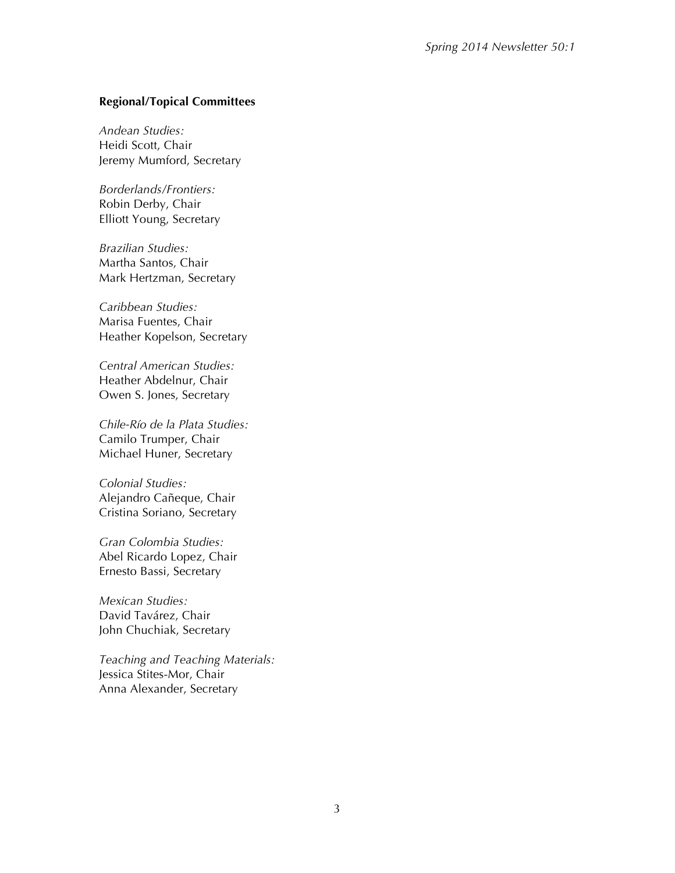#### **Regional/Topical Committees**

*Andean Studies:* Heidi Scott, Chair Jeremy Mumford, Secretary

*Borderlands/Frontiers:* Robin Derby, Chair Elliott Young, Secretary

*Brazilian Studies:* Martha Santos, Chair Mark Hertzman, Secretary

*Caribbean Studies:* Marisa Fuentes, Chair Heather Kopelson, Secretary

*Central American Studies:* Heather Abdelnur, Chair Owen S. Jones, Secretary

*Chile-Río de la Plata Studies:* Camilo Trumper, Chair Michael Huner, Secretary

*Colonial Studies:* Alejandro Cañeque, Chair Cristina Soriano, Secretary

*Gran Colombia Studies:* Abel Ricardo Lopez, Chair Ernesto Bassi, Secretary

*Mexican Studies:* David Tavárez, Chair John Chuchiak, Secretary

*Teaching and Teaching Materials:* Jessica Stites-Mor, Chair Anna Alexander, Secretary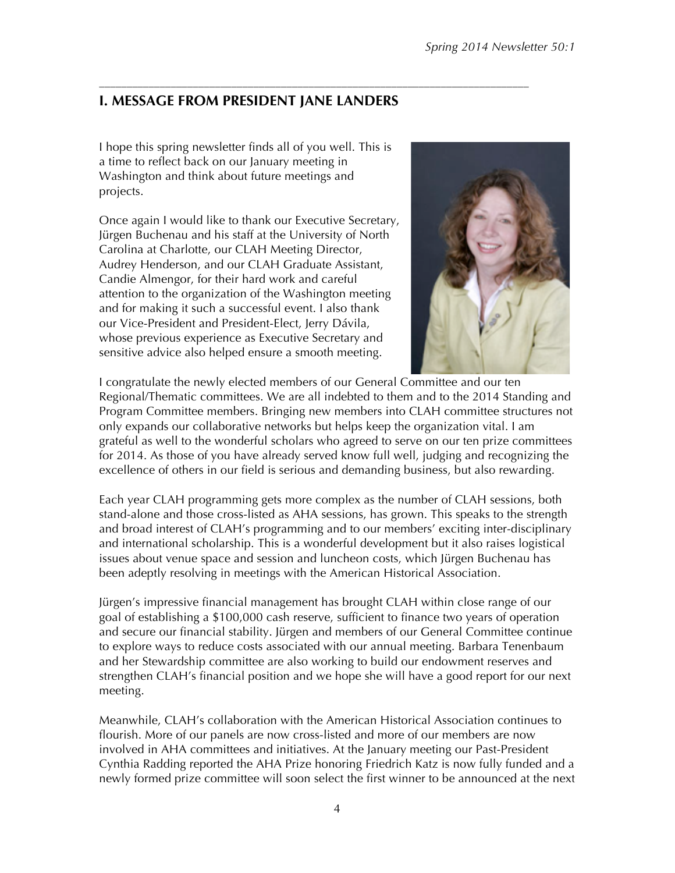## **I. MESSAGE FROM PRESIDENT JANE LANDERS**

––––––––––––––––––––––––––––––––––––––––––––––––––––––––––––––––––––––––––––––

I hope this spring newsletter finds all of you well. This is a time to reflect back on our January meeting in Washington and think about future meetings and projects.

Once again I would like to thank our Executive Secretary, Jürgen Buchenau and his staff at the University of North Carolina at Charlotte, our CLAH Meeting Director, Audrey Henderson, and our CLAH Graduate Assistant, Candie Almengor, for their hard work and careful attention to the organization of the Washington meeting and for making it such a successful event. I also thank our Vice-President and President-Elect, Jerry Dávila, whose previous experience as Executive Secretary and sensitive advice also helped ensure a smooth meeting.



I congratulate the newly elected members of our General Committee and our ten Regional/Thematic committees. We are all indebted to them and to the 2014 Standing and Program Committee members. Bringing new members into CLAH committee structures not only expands our collaborative networks but helps keep the organization vital. I am grateful as well to the wonderful scholars who agreed to serve on our ten prize committees for 2014. As those of you have already served know full well, judging and recognizing the excellence of others in our field is serious and demanding business, but also rewarding.

Each year CLAH programming gets more complex as the number of CLAH sessions, both stand-alone and those cross-listed as AHA sessions, has grown. This speaks to the strength and broad interest of CLAH's programming and to our members' exciting inter-disciplinary and international scholarship. This is a wonderful development but it also raises logistical issues about venue space and session and luncheon costs, which Jürgen Buchenau has been adeptly resolving in meetings with the American Historical Association.

Jürgen's impressive financial management has brought CLAH within close range of our goal of establishing a \$100,000 cash reserve, sufficient to finance two years of operation and secure our financial stability. Jürgen and members of our General Committee continue to explore ways to reduce costs associated with our annual meeting. Barbara Tenenbaum and her Stewardship committee are also working to build our endowment reserves and strengthen CLAH's financial position and we hope she will have a good report for our next meeting.

Meanwhile, CLAH's collaboration with the American Historical Association continues to flourish. More of our panels are now cross-listed and more of our members are now involved in AHA committees and initiatives. At the January meeting our Past-President Cynthia Radding reported the AHA Prize honoring Friedrich Katz is now fully funded and a newly formed prize committee will soon select the first winner to be announced at the next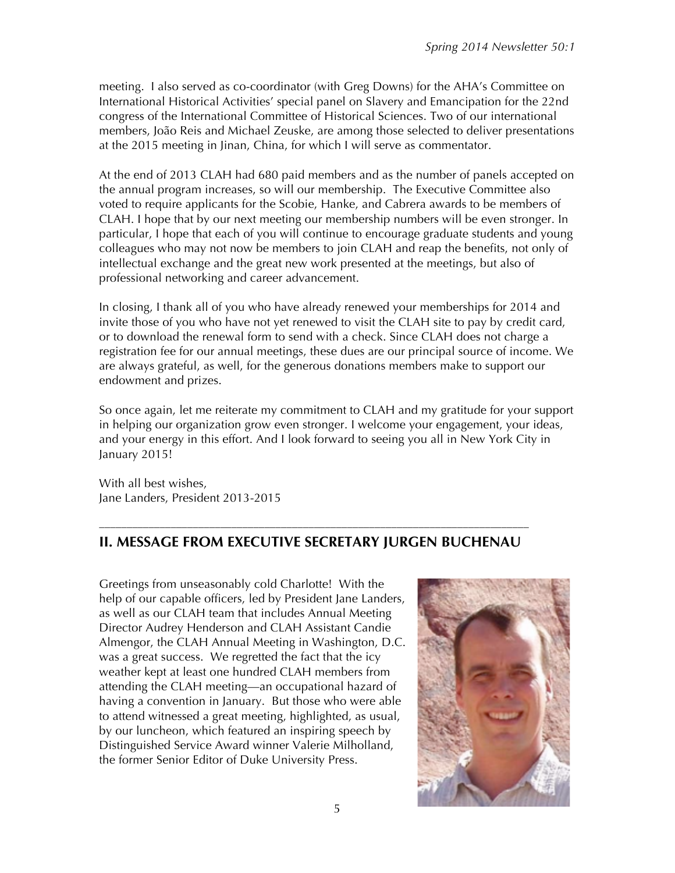meeting. I also served as co-coordinator (with Greg Downs) for the AHA's Committee on International Historical Activities' special panel on Slavery and Emancipation for the 22nd congress of the International Committee of Historical Sciences. Two of our international members, João Reis and Michael Zeuske, are among those selected to deliver presentations at the 2015 meeting in Jinan, China, for which I will serve as commentator.

At the end of 2013 CLAH had 680 paid members and as the number of panels accepted on the annual program increases, so will our membership. The Executive Committee also voted to require applicants for the Scobie, Hanke, and Cabrera awards to be members of CLAH. I hope that by our next meeting our membership numbers will be even stronger. In particular, I hope that each of you will continue to encourage graduate students and young colleagues who may not now be members to join CLAH and reap the benefits, not only of intellectual exchange and the great new work presented at the meetings, but also of professional networking and career advancement.

In closing, I thank all of you who have already renewed your memberships for 2014 and invite those of you who have not yet renewed to visit the CLAH site to pay by credit card, or to download the renewal form to send with a check. Since CLAH does not charge a registration fee for our annual meetings, these dues are our principal source of income. We are always grateful, as well, for the generous donations members make to support our endowment and prizes.

So once again, let me reiterate my commitment to CLAH and my gratitude for your support in helping our organization grow even stronger. I welcome your engagement, your ideas, and your energy in this effort. And I look forward to seeing you all in New York City in January 2015!

With all best wishes, Jane Landers, President 2013-2015

#### –––––––––––––––––––––––––––––––––––––––––––––––––––––––––––––––––––––––––––––– **II. MESSAGE FROM EXECUTIVE SECRETARY JURGEN BUCHENAU**

Greetings from unseasonably cold Charlotte! With the help of our capable officers, led by President Jane Landers, as well as our CLAH team that includes Annual Meeting Director Audrey Henderson and CLAH Assistant Candie Almengor, the CLAH Annual Meeting in Washington, D.C. was a great success. We regretted the fact that the icy weather kept at least one hundred CLAH members from attending the CLAH meeting—an occupational hazard of having a convention in January. But those who were able to attend witnessed a great meeting, highlighted, as usual, by our luncheon, which featured an inspiring speech by Distinguished Service Award winner Valerie Milholland, the former Senior Editor of Duke University Press.

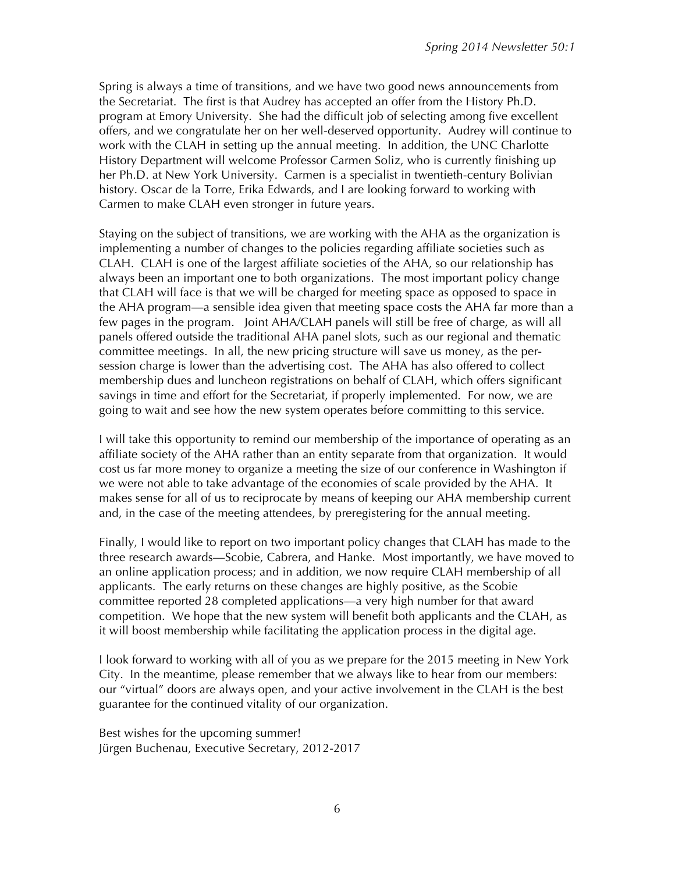Spring is always a time of transitions, and we have two good news announcements from the Secretariat. The first is that Audrey has accepted an offer from the History Ph.D. program at Emory University. She had the difficult job of selecting among five excellent offers, and we congratulate her on her well-deserved opportunity. Audrey will continue to work with the CLAH in setting up the annual meeting. In addition, the UNC Charlotte History Department will welcome Professor Carmen Soliz, who is currently finishing up her Ph.D. at New York University. Carmen is a specialist in twentieth-century Bolivian history. Oscar de la Torre, Erika Edwards, and I are looking forward to working with Carmen to make CLAH even stronger in future years.

Staying on the subject of transitions, we are working with the AHA as the organization is implementing a number of changes to the policies regarding affiliate societies such as CLAH. CLAH is one of the largest affiliate societies of the AHA, so our relationship has always been an important one to both organizations. The most important policy change that CLAH will face is that we will be charged for meeting space as opposed to space in the AHA program—a sensible idea given that meeting space costs the AHA far more than a few pages in the program. Joint AHA/CLAH panels will still be free of charge, as will all panels offered outside the traditional AHA panel slots, such as our regional and thematic committee meetings. In all, the new pricing structure will save us money, as the persession charge is lower than the advertising cost. The AHA has also offered to collect membership dues and luncheon registrations on behalf of CLAH, which offers significant savings in time and effort for the Secretariat, if properly implemented. For now, we are going to wait and see how the new system operates before committing to this service.

I will take this opportunity to remind our membership of the importance of operating as an affiliate society of the AHA rather than an entity separate from that organization. It would cost us far more money to organize a meeting the size of our conference in Washington if we were not able to take advantage of the economies of scale provided by the AHA. It makes sense for all of us to reciprocate by means of keeping our AHA membership current and, in the case of the meeting attendees, by preregistering for the annual meeting.

Finally, I would like to report on two important policy changes that CLAH has made to the three research awards—Scobie, Cabrera, and Hanke. Most importantly, we have moved to an online application process; and in addition, we now require CLAH membership of all applicants. The early returns on these changes are highly positive, as the Scobie committee reported 28 completed applications—a very high number for that award competition. We hope that the new system will benefit both applicants and the CLAH, as it will boost membership while facilitating the application process in the digital age.

I look forward to working with all of you as we prepare for the 2015 meeting in New York City. In the meantime, please remember that we always like to hear from our members: our "virtual" doors are always open, and your active involvement in the CLAH is the best guarantee for the continued vitality of our organization.

Best wishes for the upcoming summer! Jürgen Buchenau, Executive Secretary, 2012-2017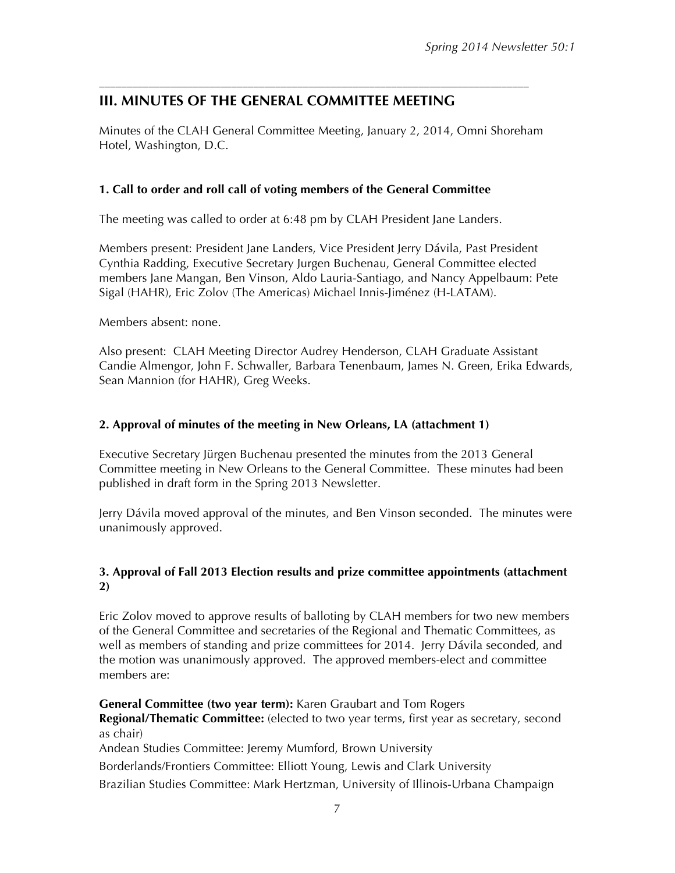## **III. MINUTES OF THE GENERAL COMMITTEE MEETING**

Minutes of the CLAH General Committee Meeting, January 2, 2014, Omni Shoreham Hotel, Washington, D.C.

––––––––––––––––––––––––––––––––––––––––––––––––––––––––––––––––––––––––––––––

#### **1. Call to order and roll call of voting members of the General Committee**

The meeting was called to order at 6:48 pm by CLAH President Jane Landers.

Members present: President Jane Landers, Vice President Jerry Dávila, Past President Cynthia Radding, Executive Secretary Jurgen Buchenau, General Committee elected members Jane Mangan, Ben Vinson, Aldo Lauria-Santiago, and Nancy Appelbaum: Pete Sigal (HAHR), Eric Zolov (The Americas) Michael Innis-Jiménez (H-LATAM).

Members absent: none.

Also present: CLAH Meeting Director Audrey Henderson, CLAH Graduate Assistant Candie Almengor, John F. Schwaller, Barbara Tenenbaum, James N. Green, Erika Edwards, Sean Mannion (for HAHR), Greg Weeks.

#### **2. Approval of minutes of the meeting in New Orleans, LA (attachment 1)**

Executive Secretary Jürgen Buchenau presented the minutes from the 2013 General Committee meeting in New Orleans to the General Committee. These minutes had been published in draft form in the Spring 2013 Newsletter.

Jerry Dávila moved approval of the minutes, and Ben Vinson seconded. The minutes were unanimously approved.

#### **3. Approval of Fall 2013 Election results and prize committee appointments (attachment 2)**

Eric Zolov moved to approve results of balloting by CLAH members for two new members of the General Committee and secretaries of the Regional and Thematic Committees, as well as members of standing and prize committees for 2014. Jerry Dávila seconded, and the motion was unanimously approved. The approved members-elect and committee members are:

**General Committee (two year term):** Karen Graubart and Tom Rogers **Regional/Thematic Committee:** (elected to two year terms, first year as secretary, second as chair) Andean Studies Committee: Jeremy Mumford, Brown University Borderlands/Frontiers Committee: Elliott Young, Lewis and Clark University Brazilian Studies Committee: Mark Hertzman, University of Illinois-Urbana Champaign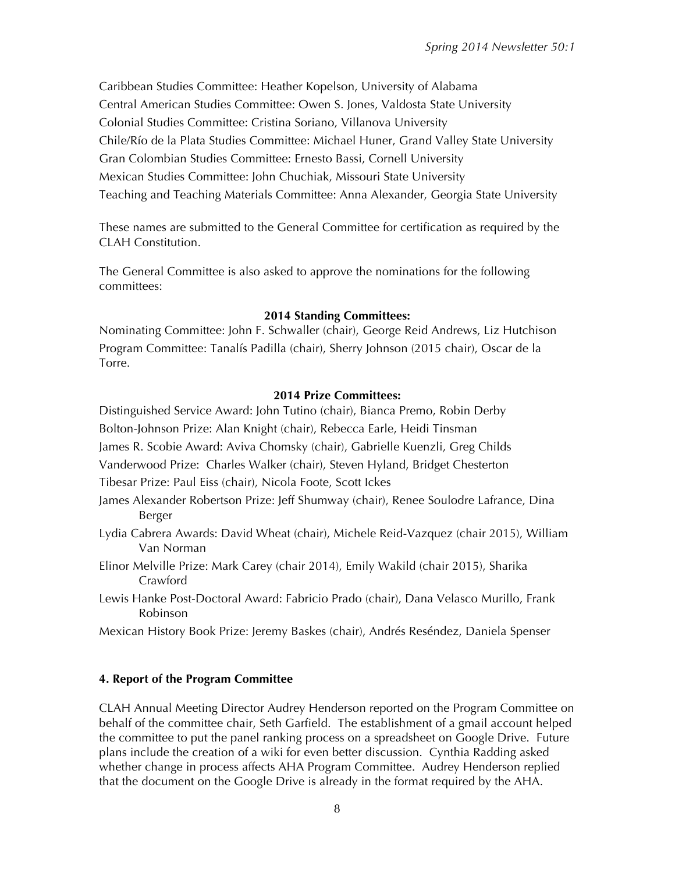Caribbean Studies Committee: Heather Kopelson, University of Alabama Central American Studies Committee: Owen S. Jones, Valdosta State University Colonial Studies Committee: Cristina Soriano, Villanova University Chile/Río de la Plata Studies Committee: Michael Huner, Grand Valley State University Gran Colombian Studies Committee: Ernesto Bassi, Cornell University Mexican Studies Committee: John Chuchiak, Missouri State University Teaching and Teaching Materials Committee: Anna Alexander, Georgia State University

These names are submitted to the General Committee for certification as required by the CLAH Constitution.

The General Committee is also asked to approve the nominations for the following committees:

#### **2014 Standing Committees:**

Nominating Committee: John F. Schwaller (chair), George Reid Andrews, Liz Hutchison Program Committee: Tanalís Padilla (chair), Sherry Johnson (2015 chair), Oscar de la Torre.

#### **2014 Prize Committees:**

Distinguished Service Award: John Tutino (chair), Bianca Premo, Robin Derby Bolton-Johnson Prize: Alan Knight (chair), Rebecca Earle, Heidi Tinsman James R. Scobie Award: Aviva Chomsky (chair), Gabrielle Kuenzli, Greg Childs Vanderwood Prize: Charles Walker (chair), Steven Hyland, Bridget Chesterton Tibesar Prize: Paul Eiss (chair), Nicola Foote, Scott Ickes

- James Alexander Robertson Prize: Jeff Shumway (chair), Renee Soulodre Lafrance, Dina Berger
- Lydia Cabrera Awards: David Wheat (chair), Michele Reid-Vazquez (chair 2015), William Van Norman
- Elinor Melville Prize: Mark Carey (chair 2014), Emily Wakild (chair 2015), Sharika Crawford
- Lewis Hanke Post-Doctoral Award: Fabricio Prado (chair), Dana Velasco Murillo, Frank Robinson
- Mexican History Book Prize: Jeremy Baskes (chair), Andrés Reséndez, Daniela Spenser

#### **4. Report of the Program Committee**

CLAH Annual Meeting Director Audrey Henderson reported on the Program Committee on behalf of the committee chair, Seth Garfield. The establishment of a gmail account helped the committee to put the panel ranking process on a spreadsheet on Google Drive. Future plans include the creation of a wiki for even better discussion. Cynthia Radding asked whether change in process affects AHA Program Committee. Audrey Henderson replied that the document on the Google Drive is already in the format required by the AHA.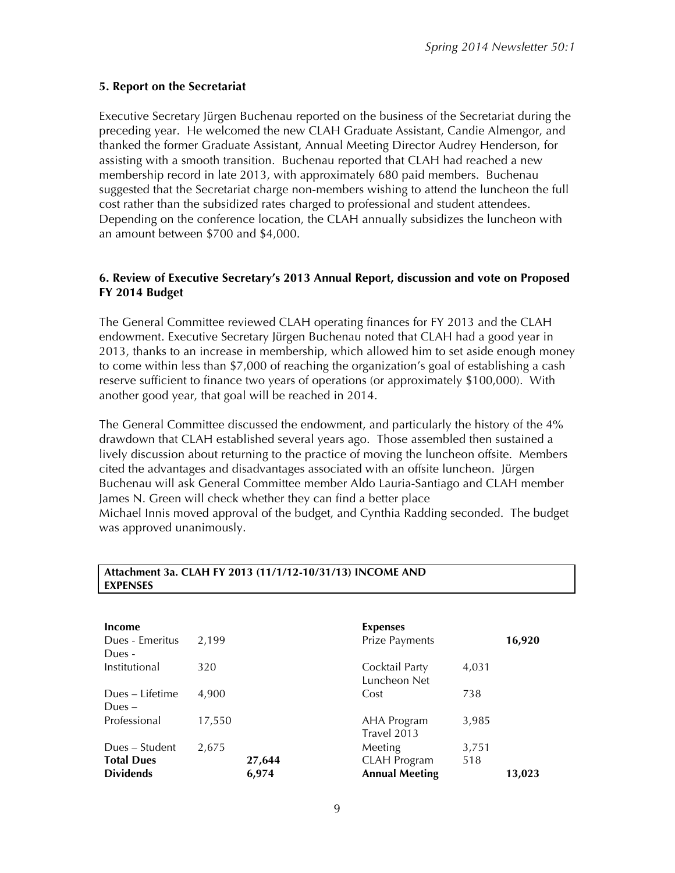#### **5. Report on the Secretariat**

Executive Secretary Jürgen Buchenau reported on the business of the Secretariat during the preceding year. He welcomed the new CLAH Graduate Assistant, Candie Almengor, and thanked the former Graduate Assistant, Annual Meeting Director Audrey Henderson, for assisting with a smooth transition. Buchenau reported that CLAH had reached a new membership record in late 2013, with approximately 680 paid members. Buchenau suggested that the Secretariat charge non-members wishing to attend the luncheon the full cost rather than the subsidized rates charged to professional and student attendees. Depending on the conference location, the CLAH annually subsidizes the luncheon with an amount between \$700 and \$4,000.

#### **6. Review of Executive Secretary's 2013 Annual Report, discussion and vote on Proposed FY 2014 Budget**

The General Committee reviewed CLAH operating finances for FY 2013 and the CLAH endowment. Executive Secretary Jürgen Buchenau noted that CLAH had a good year in 2013, thanks to an increase in membership, which allowed him to set aside enough money to come within less than \$7,000 of reaching the organization's goal of establishing a cash reserve sufficient to finance two years of operations (or approximately \$100,000). With another good year, that goal will be reached in 2014.

The General Committee discussed the endowment, and particularly the history of the 4% drawdown that CLAH established several years ago. Those assembled then sustained a lively discussion about returning to the practice of moving the luncheon offsite. Members cited the advantages and disadvantages associated with an offsite luncheon. Jürgen Buchenau will ask General Committee member Aldo Lauria-Santiago and CLAH member James N. Green will check whether they can find a better place Michael Innis moved approval of the budget, and Cynthia Radding seconded. The budget was approved unanimously.

| Income                              |        |        | <b>Expenses</b>                |              |        |
|-------------------------------------|--------|--------|--------------------------------|--------------|--------|
| Dues - Emeritus<br>Dues -           | 2,199  |        | Prize Payments                 |              | 16,920 |
| Institutional                       | 320    |        | Cocktail Party<br>Luncheon Net | 4,031        |        |
| Dues – Lifetime<br>Dues $-$         | 4.900  |        | Cost                           | 738          |        |
| Professional                        | 17,550 |        | AHA Program<br>Travel 2013     | 3,985        |        |
| Dues – Student<br><b>Total Dues</b> | 2,675  | 27,644 | Meeting<br><b>CLAH Program</b> | 3,751<br>518 |        |
| <b>Dividends</b>                    |        | 6,974  | <b>Annual Meeting</b>          |              | 13,023 |

#### **Attachment 3a. CLAH FY 2013 (11/1/12-10/31/13) INCOME AND EXPENSES**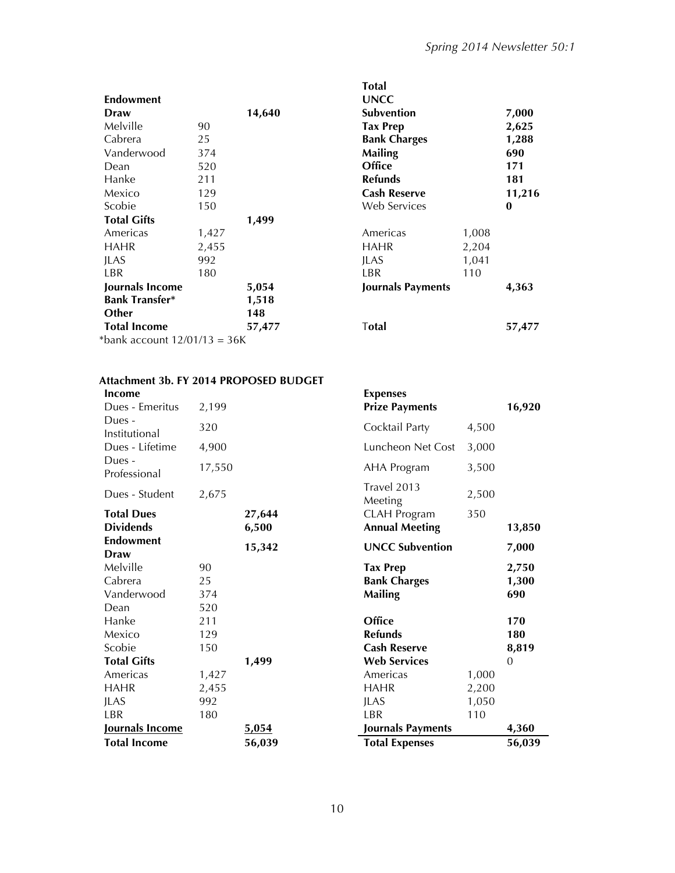| <b>Endowment</b><br>Draw     |       | 14,640 | <b>UNCC</b><br><b>Subvention</b> |       | 7,000    |
|------------------------------|-------|--------|----------------------------------|-------|----------|
| Melville                     | 90    |        | <b>Tax Prep</b>                  |       | 2,625    |
| Cabrera                      | 25    |        | <b>Bank Charges</b>              |       | 1,288    |
| Vanderwood                   | 374   |        | <b>Mailing</b>                   |       | 690      |
| Dean                         | 520   |        | Office                           |       | 171      |
| Hanke                        | 211   |        | <b>Refunds</b>                   |       | 181      |
| Mexico                       | 129   |        | <b>Cash Reserve</b>              |       | 11,216   |
| Scobie                       | 150   |        | Web Services                     |       | $\bf{0}$ |
| <b>Total Gifts</b>           |       | 1,499  |                                  |       |          |
| Americas                     | 1,427 |        | Americas                         | 1,008 |          |
| <b>HAHR</b>                  | 2,455 |        | <b>HAHR</b>                      | 2,204 |          |
| <b>JLAS</b>                  | 992   |        | <b>JLAS</b>                      | 1,041 |          |
| LBR                          | 180   |        | LBR                              | 110   |          |
| Journals Income              |       | 5,054  | Journals Payments                |       | 4,363    |
| <b>Bank Transfer*</b>        |       | 1,518  |                                  |       |          |
| Other                        |       | 148    |                                  |       |          |
| <b>Total Income</b>          |       | 57,477 | Total                            |       | 57,477   |
| *bank account 12/01/13 = 36K |       |        |                                  |       |          |

| Total<br>UNCC<br>Subvention<br>Tax Prep<br><b>Bank Charges</b><br><b>Mailing</b><br>Office<br>Refunds<br>Cash Reserve<br>Web Services |                                | 7,000<br>2,625<br>1,288<br>690<br>171<br>181<br>11,216<br>0 |
|---------------------------------------------------------------------------------------------------------------------------------------|--------------------------------|-------------------------------------------------------------|
| Americas<br>HAHR<br><b>ILAS</b><br>I BR<br>Journals Payments                                                                          | 1,008<br>2,204<br>1,041<br>110 | 4,363                                                       |
| Total                                                                                                                                 |                                | 57,477                                                      |

## **Attachment 3b. FY 2014 PROPOSED BUDGET**

| Income<br>Dues - Emeritus                     | 2,199                        |                 | <b>Expenses</b><br><b>Prize Payments</b>                 |                                | 16,920                |
|-----------------------------------------------|------------------------------|-----------------|----------------------------------------------------------|--------------------------------|-----------------------|
| Dues -<br>Institutional                       | 320                          |                 | Cocktail Party                                           | 4,500                          |                       |
| Dues - Lifetime                               | 4,900                        |                 | Luncheon Net Cost                                        | 3,000                          |                       |
| Dues -<br>Professional                        | 17,550                       |                 | <b>AHA Program</b>                                       | 3,500                          |                       |
| Dues - Student                                | 2,675                        |                 | Travel 2013<br>Meeting                                   | 2,500                          |                       |
| <b>Total Dues</b><br><b>Dividends</b>         |                              | 27,644<br>6,500 | <b>CLAH Program</b><br><b>Annual Meeting</b>             | 350                            | 13,850                |
| <b>Endowment</b><br>Draw                      |                              | 15,342          | <b>UNCC Subvention</b>                                   |                                | 7,000                 |
| Melville<br>Cabrera<br>Vanderwood             | 90<br>25<br>374              |                 | <b>Tax Prep</b><br><b>Bank Charges</b><br><b>Mailing</b> |                                | 2,750<br>1,300<br>690 |
| Dean<br>Hanke<br>Mexico<br>Scobie             | 520<br>211<br>129<br>150     |                 | Office<br><b>Refunds</b><br><b>Cash Reserve</b>          |                                | 170<br>180<br>8,819   |
| <b>Total Gifts</b>                            |                              | 1,499           | <b>Web Services</b>                                      |                                | $\overline{0}$        |
| Americas<br><b>HAHR</b><br><b>JLAS</b><br>LBR | 1,427<br>2,455<br>992<br>180 |                 | Americas<br><b>HAHR</b><br><b>JLAS</b><br>LBR            | 1,000<br>2,200<br>1,050<br>110 |                       |
| Journals Income                               |                              | 5,054           | Journals Payments                                        |                                | 4,360                 |
| <b>Total Income</b>                           |                              | 56,039          | <b>Total Expenses</b>                                    |                                | 56,039                |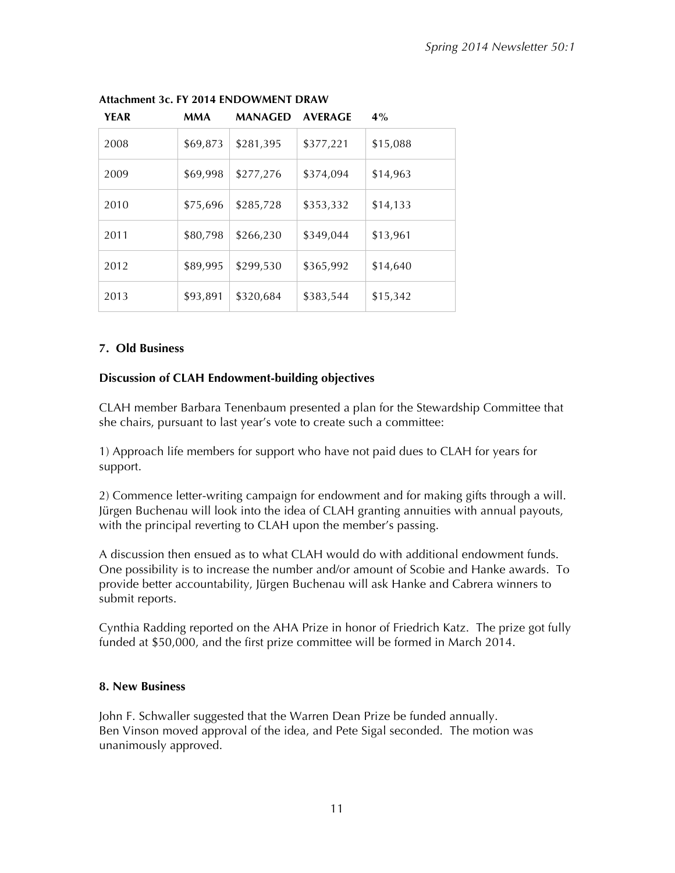| <b>YEAR</b> | <b>MMA</b> | <b>MANAGED</b> | <b>AVERAGE</b> | 4%       |
|-------------|------------|----------------|----------------|----------|
| 2008        | \$69,873   | \$281,395      | \$377,221      | \$15,088 |
| 2009        | \$69,998   | \$277,276      | \$374,094      | \$14,963 |
| 2010        | \$75,696   | \$285,728      | \$353,332      | \$14,133 |
| 2011        | \$80,798   | \$266,230      | \$349,044      | \$13,961 |
| 2012        | \$89,995   | \$299,530      | \$365,992      | \$14,640 |
| 2013        | \$93,891   | \$320,684      | \$383,544      | \$15,342 |

#### **Attachment 3c. FY 2014 ENDOWMENT DRAW**

#### **7. Old Business**

#### **Discussion of CLAH Endowment-building objectives**

CLAH member Barbara Tenenbaum presented a plan for the Stewardship Committee that she chairs, pursuant to last year's vote to create such a committee:

1) Approach life members for support who have not paid dues to CLAH for years for support.

2) Commence letter-writing campaign for endowment and for making gifts through a will. Jürgen Buchenau will look into the idea of CLAH granting annuities with annual payouts, with the principal reverting to CLAH upon the member's passing.

A discussion then ensued as to what CLAH would do with additional endowment funds. One possibility is to increase the number and/or amount of Scobie and Hanke awards. To provide better accountability, Jürgen Buchenau will ask Hanke and Cabrera winners to submit reports.

Cynthia Radding reported on the AHA Prize in honor of Friedrich Katz. The prize got fully funded at \$50,000, and the first prize committee will be formed in March 2014.

#### **8. New Business**

John F. Schwaller suggested that the Warren Dean Prize be funded annually. Ben Vinson moved approval of the idea, and Pete Sigal seconded. The motion was unanimously approved.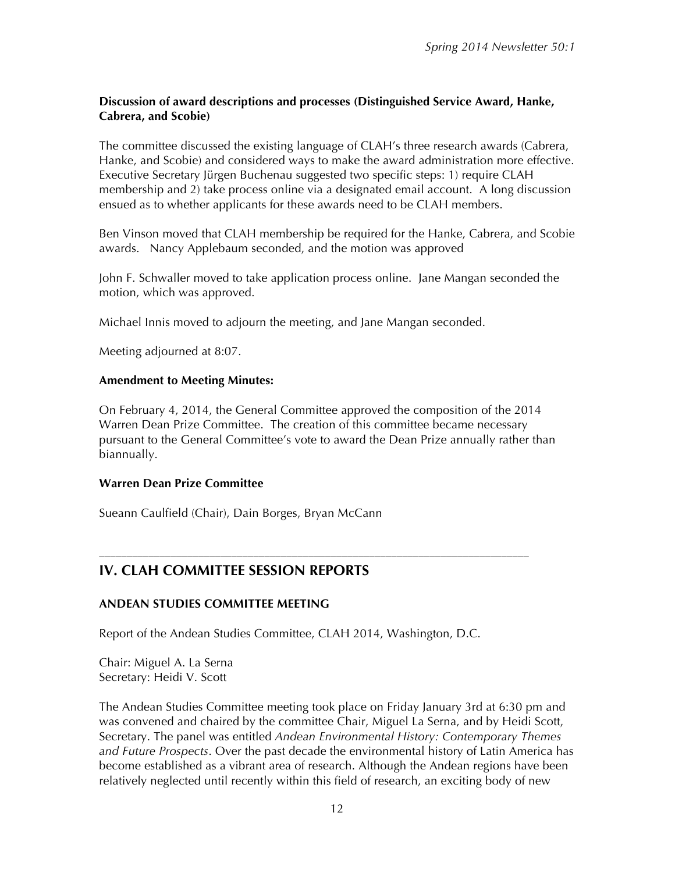#### **Discussion of award descriptions and processes (Distinguished Service Award, Hanke, Cabrera, and Scobie)**

The committee discussed the existing language of CLAH's three research awards (Cabrera, Hanke, and Scobie) and considered ways to make the award administration more effective. Executive Secretary Jürgen Buchenau suggested two specific steps: 1) require CLAH membership and 2) take process online via a designated email account. A long discussion ensued as to whether applicants for these awards need to be CLAH members.

Ben Vinson moved that CLAH membership be required for the Hanke, Cabrera, and Scobie awards. Nancy Applebaum seconded, and the motion was approved

John F. Schwaller moved to take application process online. Jane Mangan seconded the motion, which was approved.

Michael Innis moved to adjourn the meeting, and Jane Mangan seconded.

Meeting adjourned at 8:07.

#### **Amendment to Meeting Minutes:**

On February 4, 2014, the General Committee approved the composition of the 2014 Warren Dean Prize Committee. The creation of this committee became necessary pursuant to the General Committee's vote to award the Dean Prize annually rather than biannually.

#### **Warren Dean Prize Committee**

Sueann Caulfield (Chair), Dain Borges, Bryan McCann

## **IV. CLAH COMMITTEE SESSION REPORTS**

#### **ANDEAN STUDIES COMMITTEE MEETING**

Report of the Andean Studies Committee, CLAH 2014, Washington, D.C.

––––––––––––––––––––––––––––––––––––––––––––––––––––––––––––––––––––––––––––––

Chair: Miguel A. La Serna Secretary: Heidi V. Scott

The Andean Studies Committee meeting took place on Friday January 3rd at 6:30 pm and was convened and chaired by the committee Chair, Miguel La Serna, and by Heidi Scott, Secretary. The panel was entitled *Andean Environmental History: Contemporary Themes and Future Prospects*. Over the past decade the environmental history of Latin America has become established as a vibrant area of research. Although the Andean regions have been relatively neglected until recently within this field of research, an exciting body of new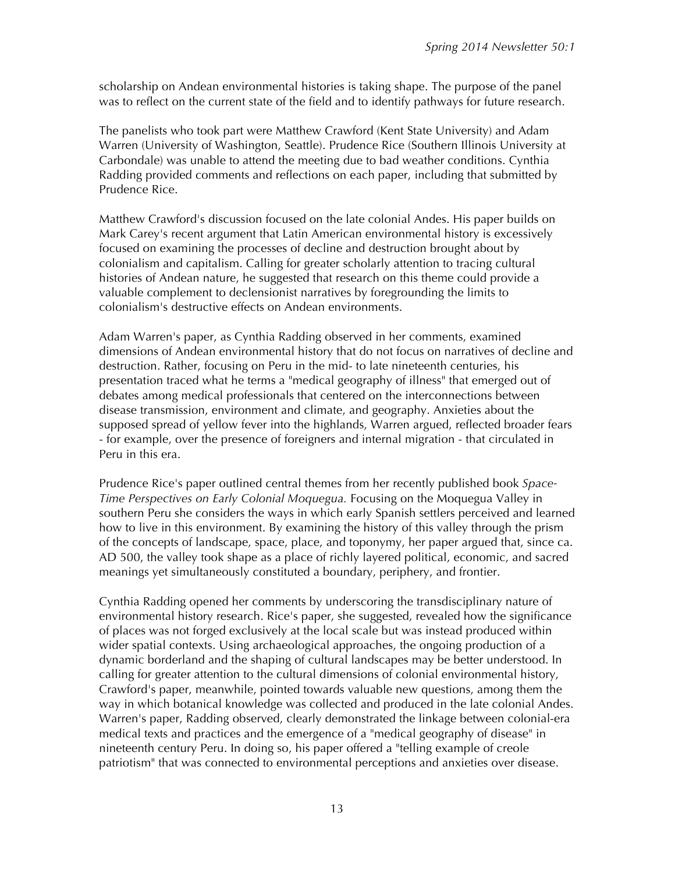scholarship on Andean environmental histories is taking shape. The purpose of the panel was to reflect on the current state of the field and to identify pathways for future research.

The panelists who took part were Matthew Crawford (Kent State University) and Adam Warren (University of Washington, Seattle). Prudence Rice (Southern Illinois University at Carbondale) was unable to attend the meeting due to bad weather conditions. Cynthia Radding provided comments and reflections on each paper, including that submitted by Prudence Rice.

Matthew Crawford's discussion focused on the late colonial Andes. His paper builds on Mark Carey's recent argument that Latin American environmental history is excessively focused on examining the processes of decline and destruction brought about by colonialism and capitalism. Calling for greater scholarly attention to tracing cultural histories of Andean nature, he suggested that research on this theme could provide a valuable complement to declensionist narratives by foregrounding the limits to colonialism's destructive effects on Andean environments.

Adam Warren's paper, as Cynthia Radding observed in her comments, examined dimensions of Andean environmental history that do not focus on narratives of decline and destruction. Rather, focusing on Peru in the mid- to late nineteenth centuries, his presentation traced what he terms a "medical geography of illness" that emerged out of debates among medical professionals that centered on the interconnections between disease transmission, environment and climate, and geography. Anxieties about the supposed spread of yellow fever into the highlands, Warren argued, reflected broader fears - for example, over the presence of foreigners and internal migration - that circulated in Peru in this era.

Prudence Rice's paper outlined central themes from her recently published book *Space-Time Perspectives on Early Colonial Moquegua.* Focusing on the Moquegua Valley in southern Peru she considers the ways in which early Spanish settlers perceived and learned how to live in this environment. By examining the history of this valley through the prism of the concepts of landscape, space, place, and toponymy, her paper argued that, since ca. AD 500, the valley took shape as a place of richly layered political, economic, and sacred meanings yet simultaneously constituted a boundary, periphery, and frontier.

Cynthia Radding opened her comments by underscoring the transdisciplinary nature of environmental history research. Rice's paper, she suggested, revealed how the significance of places was not forged exclusively at the local scale but was instead produced within wider spatial contexts. Using archaeological approaches, the ongoing production of a dynamic borderland and the shaping of cultural landscapes may be better understood. In calling for greater attention to the cultural dimensions of colonial environmental history, Crawford's paper, meanwhile, pointed towards valuable new questions, among them the way in which botanical knowledge was collected and produced in the late colonial Andes. Warren's paper, Radding observed, clearly demonstrated the linkage between colonial-era medical texts and practices and the emergence of a "medical geography of disease" in nineteenth century Peru. In doing so, his paper offered a "telling example of creole patriotism" that was connected to environmental perceptions and anxieties over disease.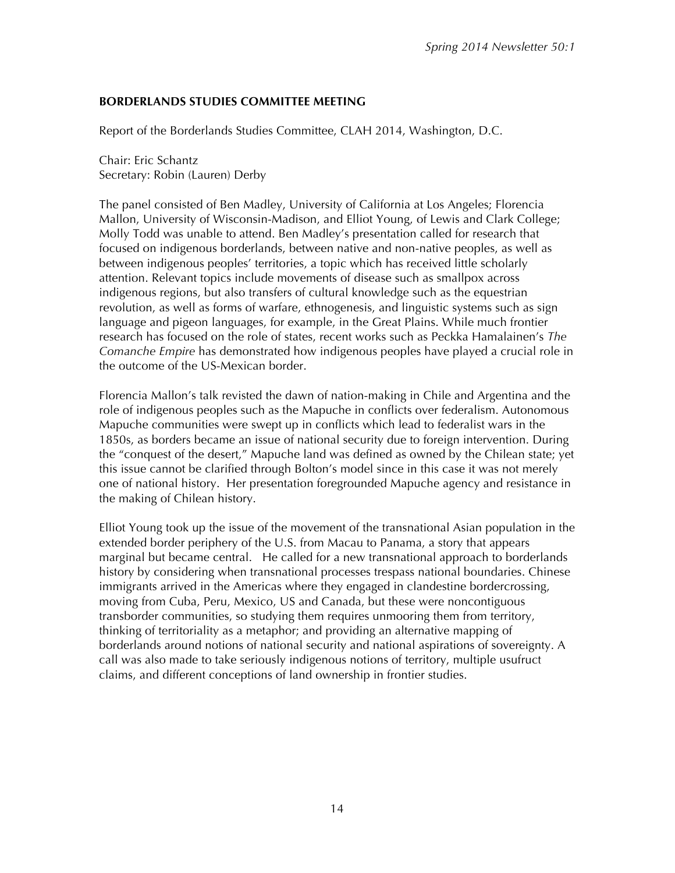#### **BORDERLANDS STUDIES COMMITTEE MEETING**

Report of the Borderlands Studies Committee, CLAH 2014, Washington, D.C.

Chair: Eric Schantz Secretary: Robin (Lauren) Derby

The panel consisted of Ben Madley, University of California at Los Angeles; Florencia Mallon, University of Wisconsin-Madison, and Elliot Young, of Lewis and Clark College; Molly Todd was unable to attend. Ben Madley's presentation called for research that focused on indigenous borderlands, between native and non-native peoples, as well as between indigenous peoples' territories, a topic which has received little scholarly attention. Relevant topics include movements of disease such as smallpox across indigenous regions, but also transfers of cultural knowledge such as the equestrian revolution, as well as forms of warfare, ethnogenesis, and linguistic systems such as sign language and pigeon languages, for example, in the Great Plains. While much frontier research has focused on the role of states, recent works such as Peckka Hamalainen's *The Comanche Empire* has demonstrated how indigenous peoples have played a crucial role in the outcome of the US-Mexican border.

Florencia Mallon's talk revisted the dawn of nation-making in Chile and Argentina and the role of indigenous peoples such as the Mapuche in conflicts over federalism. Autonomous Mapuche communities were swept up in conflicts which lead to federalist wars in the 1850s, as borders became an issue of national security due to foreign intervention. During the "conquest of the desert," Mapuche land was defined as owned by the Chilean state; yet this issue cannot be clarified through Bolton's model since in this case it was not merely one of national history. Her presentation foregrounded Mapuche agency and resistance in the making of Chilean history.

Elliot Young took up the issue of the movement of the transnational Asian population in the extended border periphery of the U.S. from Macau to Panama, a story that appears marginal but became central. He called for a new transnational approach to borderlands history by considering when transnational processes trespass national boundaries. Chinese immigrants arrived in the Americas where they engaged in clandestine bordercrossing, moving from Cuba, Peru, Mexico, US and Canada, but these were noncontiguous transborder communities, so studying them requires unmooring them from territory, thinking of territoriality as a metaphor; and providing an alternative mapping of borderlands around notions of national security and national aspirations of sovereignty. A call was also made to take seriously indigenous notions of territory, multiple usufruct claims, and different conceptions of land ownership in frontier studies.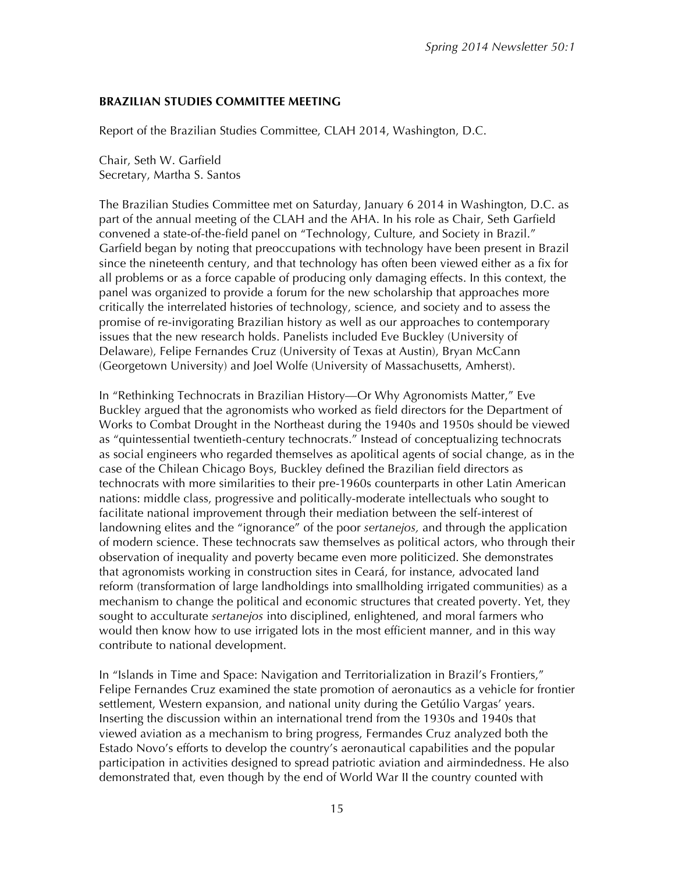#### **BRAZILIAN STUDIES COMMITTEE MEETING**

Report of the Brazilian Studies Committee, CLAH 2014, Washington, D.C.

Chair, Seth W. Garfield Secretary, Martha S. Santos

The Brazilian Studies Committee met on Saturday, January 6 2014 in Washington, D.C. as part of the annual meeting of the CLAH and the AHA. In his role as Chair, Seth Garfield convened a state-of-the-field panel on "Technology, Culture, and Society in Brazil." Garfield began by noting that preoccupations with technology have been present in Brazil since the nineteenth century, and that technology has often been viewed either as a fix for all problems or as a force capable of producing only damaging effects. In this context, the panel was organized to provide a forum for the new scholarship that approaches more critically the interrelated histories of technology, science, and society and to assess the promise of re-invigorating Brazilian history as well as our approaches to contemporary issues that the new research holds. Panelists included Eve Buckley (University of Delaware), Felipe Fernandes Cruz (University of Texas at Austin), Bryan McCann (Georgetown University) and Joel Wolfe (University of Massachusetts, Amherst).

In "Rethinking Technocrats in Brazilian History—Or Why Agronomists Matter," Eve Buckley argued that the agronomists who worked as field directors for the Department of Works to Combat Drought in the Northeast during the 1940s and 1950s should be viewed as "quintessential twentieth-century technocrats." Instead of conceptualizing technocrats as social engineers who regarded themselves as apolitical agents of social change, as in the case of the Chilean Chicago Boys, Buckley defined the Brazilian field directors as technocrats with more similarities to their pre-1960s counterparts in other Latin American nations: middle class, progressive and politically-moderate intellectuals who sought to facilitate national improvement through their mediation between the self-interest of landowning elites and the "ignorance" of the poor *sertanejos,* and through the application of modern science. These technocrats saw themselves as political actors, who through their observation of inequality and poverty became even more politicized. She demonstrates that agronomists working in construction sites in Ceará, for instance, advocated land reform (transformation of large landholdings into smallholding irrigated communities) as a mechanism to change the political and economic structures that created poverty. Yet, they sought to acculturate *sertanejos* into disciplined, enlightened, and moral farmers who would then know how to use irrigated lots in the most efficient manner, and in this way contribute to national development.

In "Islands in Time and Space: Navigation and Territorialization in Brazil's Frontiers," Felipe Fernandes Cruz examined the state promotion of aeronautics as a vehicle for frontier settlement, Western expansion, and national unity during the Getúlio Vargas' years. Inserting the discussion within an international trend from the 1930s and 1940s that viewed aviation as a mechanism to bring progress, Fermandes Cruz analyzed both the Estado Novo's efforts to develop the country's aeronautical capabilities and the popular participation in activities designed to spread patriotic aviation and airmindedness. He also demonstrated that, even though by the end of World War II the country counted with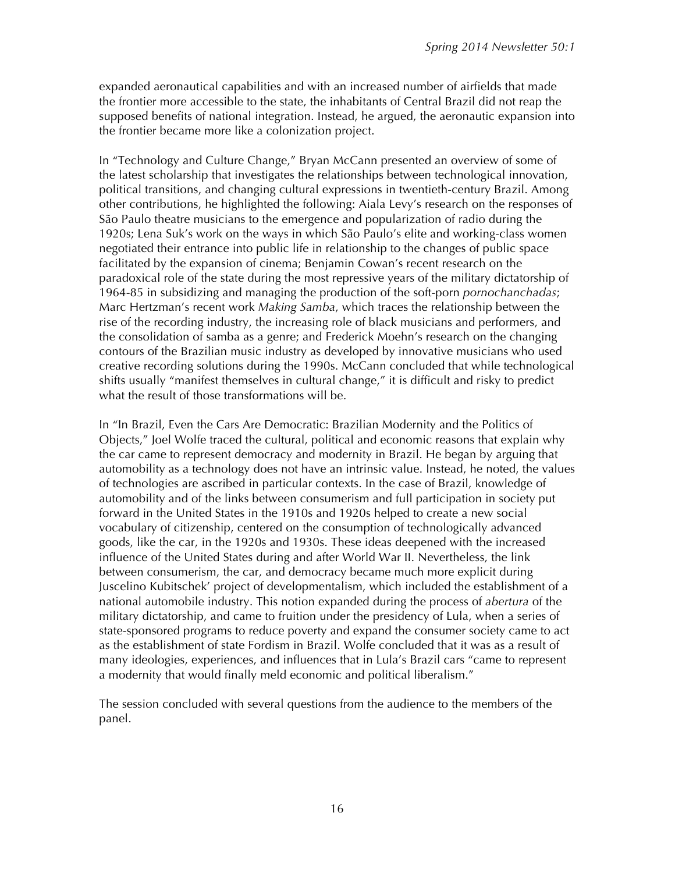expanded aeronautical capabilities and with an increased number of airfields that made the frontier more accessible to the state, the inhabitants of Central Brazil did not reap the supposed benefits of national integration. Instead, he argued, the aeronautic expansion into the frontier became more like a colonization project.

In "Technology and Culture Change," Bryan McCann presented an overview of some of the latest scholarship that investigates the relationships between technological innovation, political transitions, and changing cultural expressions in twentieth-century Brazil. Among other contributions, he highlighted the following: Aiala Levy's research on the responses of São Paulo theatre musicians to the emergence and popularization of radio during the 1920s; Lena Suk's work on the ways in which São Paulo's elite and working-class women negotiated their entrance into public life in relationship to the changes of public space facilitated by the expansion of cinema; Benjamin Cowan's recent research on the paradoxical role of the state during the most repressive years of the military dictatorship of 1964-85 in subsidizing and managing the production of the soft-porn *pornochanchadas*; Marc Hertzman's recent work *Making Samba*, which traces the relationship between the rise of the recording industry, the increasing role of black musicians and performers, and the consolidation of samba as a genre; and Frederick Moehn's research on the changing contours of the Brazilian music industry as developed by innovative musicians who used creative recording solutions during the 1990s. McCann concluded that while technological shifts usually "manifest themselves in cultural change," it is difficult and risky to predict what the result of those transformations will be.

In "In Brazil, Even the Cars Are Democratic: Brazilian Modernity and the Politics of Objects," Joel Wolfe traced the cultural, political and economic reasons that explain why the car came to represent democracy and modernity in Brazil. He began by arguing that automobility as a technology does not have an intrinsic value. Instead, he noted, the values of technologies are ascribed in particular contexts. In the case of Brazil, knowledge of automobility and of the links between consumerism and full participation in society put forward in the United States in the 1910s and 1920s helped to create a new social vocabulary of citizenship, centered on the consumption of technologically advanced goods, like the car, in the 1920s and 1930s. These ideas deepened with the increased influence of the United States during and after World War II. Nevertheless, the link between consumerism, the car, and democracy became much more explicit during Juscelino Kubitschek' project of developmentalism, which included the establishment of a national automobile industry. This notion expanded during the process of *abertura* of the military dictatorship, and came to fruition under the presidency of Lula, when a series of state-sponsored programs to reduce poverty and expand the consumer society came to act as the establishment of state Fordism in Brazil. Wolfe concluded that it was as a result of many ideologies, experiences, and influences that in Lula's Brazil cars "came to represent a modernity that would finally meld economic and political liberalism."

The session concluded with several questions from the audience to the members of the panel.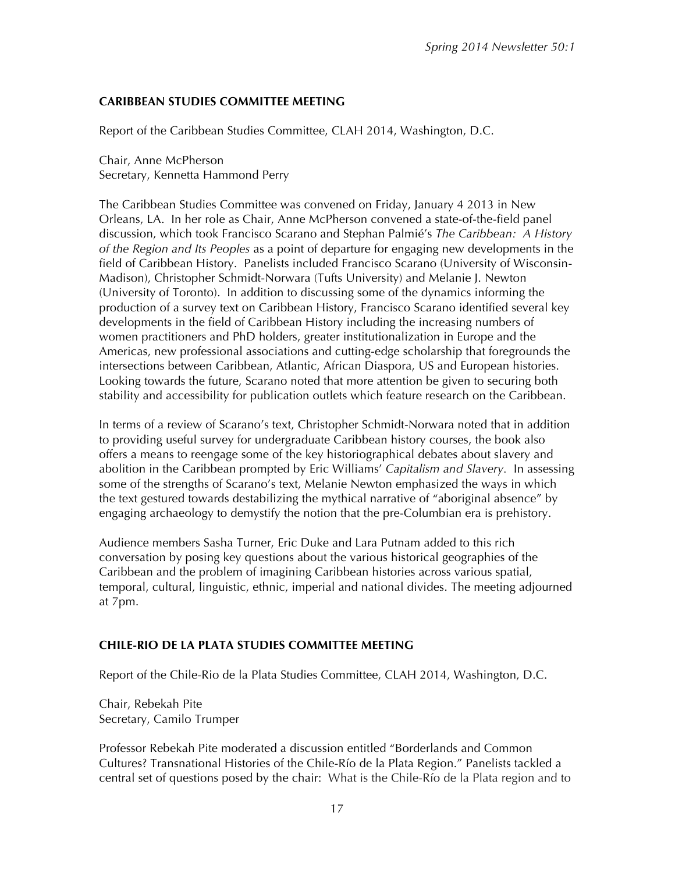#### **CARIBBEAN STUDIES COMMITTEE MEETING**

Report of the Caribbean Studies Committee, CLAH 2014, Washington, D.C.

Chair, Anne McPherson Secretary, Kennetta Hammond Perry

The Caribbean Studies Committee was convened on Friday, January 4 2013 in New Orleans, LA. In her role as Chair, Anne McPherson convened a state-of-the-field panel discussion, which took Francisco Scarano and Stephan Palmié's *The Caribbean: A History of the Region and Its Peoples* as a point of departure for engaging new developments in the field of Caribbean History. Panelists included Francisco Scarano (University of Wisconsin-Madison), Christopher Schmidt-Norwara (Tufts University) and Melanie J. Newton (University of Toronto). In addition to discussing some of the dynamics informing the production of a survey text on Caribbean History, Francisco Scarano identified several key developments in the field of Caribbean History including the increasing numbers of women practitioners and PhD holders, greater institutionalization in Europe and the Americas, new professional associations and cutting-edge scholarship that foregrounds the intersections between Caribbean, Atlantic, African Diaspora, US and European histories. Looking towards the future, Scarano noted that more attention be given to securing both stability and accessibility for publication outlets which feature research on the Caribbean.

In terms of a review of Scarano's text, Christopher Schmidt-Norwara noted that in addition to providing useful survey for undergraduate Caribbean history courses, the book also offers a means to reengage some of the key historiographical debates about slavery and abolition in the Caribbean prompted by Eric Williams' *Capitalism and Slavery.* In assessing some of the strengths of Scarano's text, Melanie Newton emphasized the ways in which the text gestured towards destabilizing the mythical narrative of "aboriginal absence" by engaging archaeology to demystify the notion that the pre-Columbian era is prehistory.

Audience members Sasha Turner, Eric Duke and Lara Putnam added to this rich conversation by posing key questions about the various historical geographies of the Caribbean and the problem of imagining Caribbean histories across various spatial, temporal, cultural, linguistic, ethnic, imperial and national divides. The meeting adjourned at 7pm.

#### **CHILE-RIO DE LA PLATA STUDIES COMMITTEE MEETING**

Report of the Chile-Rio de la Plata Studies Committee, CLAH 2014, Washington, D.C.

Chair, Rebekah Pite Secretary, Camilo Trumper

Professor Rebekah Pite moderated a discussion entitled "Borderlands and Common Cultures? Transnational Histories of the Chile-Río de la Plata Region." Panelists tackled a central set of questions posed by the chair: What is the Chile-Río de la Plata region and to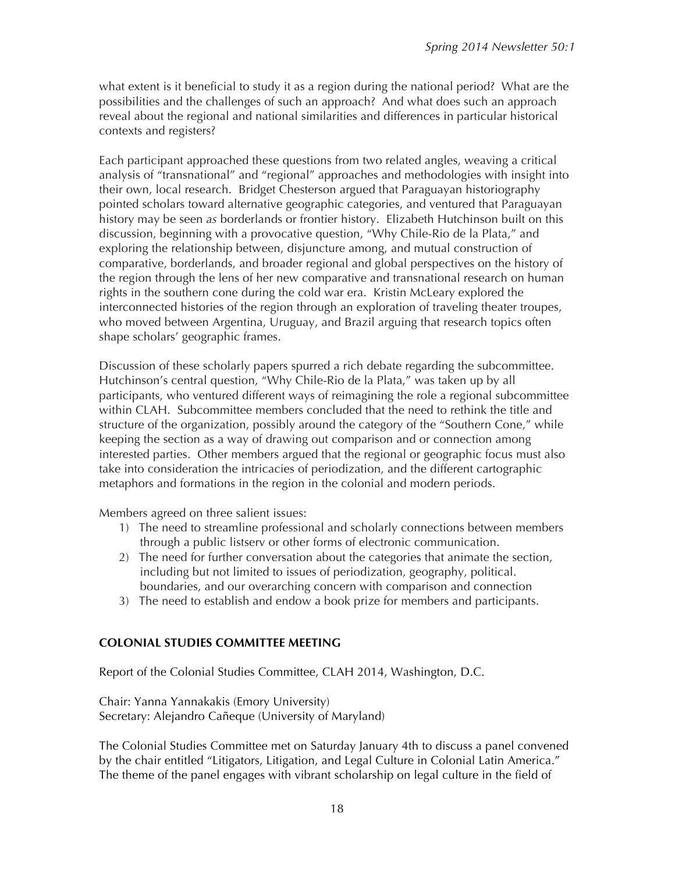what extent is it beneficial to study it as a region during the national period? What are the possibilities and the challenges of such an approach? And what does such an approach reveal about the regional and national similarities and differences in particular historical contexts and registers?

Each participant approached these questions from two related angles, weaving a critical analysis of "transnational" and "regional" approaches and methodologies with insight into their own, local research. Bridget Chesterson argued that Paraguayan historiography pointed scholars toward alternative geographic categories, and ventured that Paraguayan history may be seen *as* borderlands or frontier history. Elizabeth Hutchinson built on this discussion, beginning with a provocative question, "Why Chile-Rio de la Plata," and exploring the relationship between, disjuncture among, and mutual construction of comparative, borderlands, and broader regional and global perspectives on the history of the region through the lens of her new comparative and transnational research on human rights in the southern cone during the cold war era. Kristin McLeary explored the interconnected histories of the region through an exploration of traveling theater troupes, who moved between Argentina, Uruguay, and Brazil arguing that research topics often shape scholars' geographic frames.

Discussion of these scholarly papers spurred a rich debate regarding the subcommittee. Hutchinson's central question, "Why Chile-Rio de la Plata," was taken up by all participants, who ventured different ways of reimagining the role a regional subcommittee within CLAH. Subcommittee members concluded that the need to rethink the title and structure of the organization, possibly around the category of the "Southern Cone," while keeping the section as a way of drawing out comparison and or connection among interested parties. Other members argued that the regional or geographic focus must also take into consideration the intricacies of periodization, and the different cartographic metaphors and formations in the region in the colonial and modern periods.

Members agreed on three salient issues:

- 1) The need to streamline professional and scholarly connections between members through a public listserv or other forms of electronic communication.
- 2) The need for further conversation about the categories that animate the section, including but not limited to issues of periodization, geography, political. boundaries, and our overarching concern with comparison and connection
- 3) The need to establish and endow a book prize for members and participants.

#### **COLONIAL STUDIES COMMITTEE MEETING**

Report of the Colonial Studies Committee, CLAH 2014, Washington, D.C.

Chair: Yanna Yannakakis (Emory University) Secretary: Alejandro Cañeque (University of Maryland)

The Colonial Studies Committee met on Saturday January 4th to discuss a panel convened by the chair entitled "Litigators, Litigation, and Legal Culture in Colonial Latin America." The theme of the panel engages with vibrant scholarship on legal culture in the field of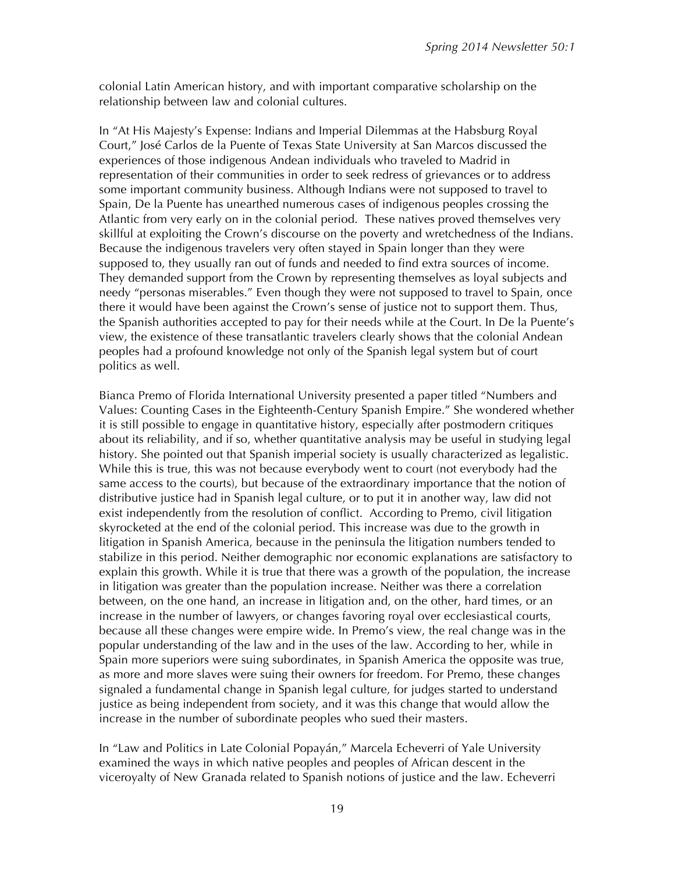colonial Latin American history, and with important comparative scholarship on the relationship between law and colonial cultures.

In "At His Majesty's Expense: Indians and Imperial Dilemmas at the Habsburg Royal Court," José Carlos de la Puente of Texas State University at San Marcos discussed the experiences of those indigenous Andean individuals who traveled to Madrid in representation of their communities in order to seek redress of grievances or to address some important community business. Although Indians were not supposed to travel to Spain, De la Puente has unearthed numerous cases of indigenous peoples crossing the Atlantic from very early on in the colonial period. These natives proved themselves very skillful at exploiting the Crown's discourse on the poverty and wretchedness of the Indians. Because the indigenous travelers very often stayed in Spain longer than they were supposed to, they usually ran out of funds and needed to find extra sources of income. They demanded support from the Crown by representing themselves as loyal subjects and needy "personas miserables." Even though they were not supposed to travel to Spain, once there it would have been against the Crown's sense of justice not to support them. Thus, the Spanish authorities accepted to pay for their needs while at the Court. In De la Puente's view, the existence of these transatlantic travelers clearly shows that the colonial Andean peoples had a profound knowledge not only of the Spanish legal system but of court politics as well.

Bianca Premo of Florida International University presented a paper titled "Numbers and Values: Counting Cases in the Eighteenth-Century Spanish Empire." She wondered whether it is still possible to engage in quantitative history, especially after postmodern critiques about its reliability, and if so, whether quantitative analysis may be useful in studying legal history. She pointed out that Spanish imperial society is usually characterized as legalistic. While this is true, this was not because everybody went to court (not everybody had the same access to the courts), but because of the extraordinary importance that the notion of distributive justice had in Spanish legal culture, or to put it in another way, law did not exist independently from the resolution of conflict. According to Premo, civil litigation skyrocketed at the end of the colonial period. This increase was due to the growth in litigation in Spanish America, because in the peninsula the litigation numbers tended to stabilize in this period. Neither demographic nor economic explanations are satisfactory to explain this growth. While it is true that there was a growth of the population, the increase in litigation was greater than the population increase. Neither was there a correlation between, on the one hand, an increase in litigation and, on the other, hard times, or an increase in the number of lawyers, or changes favoring royal over ecclesiastical courts, because all these changes were empire wide. In Premo's view, the real change was in the popular understanding of the law and in the uses of the law. According to her, while in Spain more superiors were suing subordinates, in Spanish America the opposite was true, as more and more slaves were suing their owners for freedom. For Premo, these changes signaled a fundamental change in Spanish legal culture, for judges started to understand justice as being independent from society, and it was this change that would allow the increase in the number of subordinate peoples who sued their masters.

In "Law and Politics in Late Colonial Popayán," Marcela Echeverri of Yale University examined the ways in which native peoples and peoples of African descent in the viceroyalty of New Granada related to Spanish notions of justice and the law. Echeverri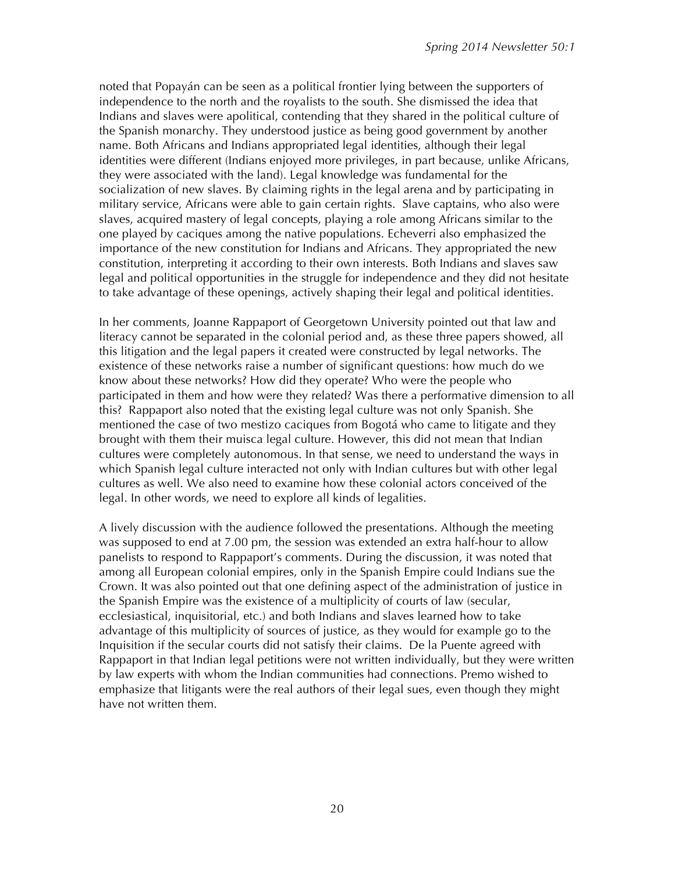noted that Popayán can be seen as a political frontier lying between the supporters of independence to the north and the royalists to the south. She dismissed the idea that Indians and slaves were apolitical, contending that they shared in the political culture of the Spanish monarchy. They understood justice as being good government by another name. Both Africans and Indians appropriated legal identities, although their legal identities were different (Indians enjoyed more privileges, in part because, unlike Africans, they were associated with the land). Legal knowledge was fundamental for the socialization of new slaves. By claiming rights in the legal arena and by participating in military service, Africans were able to gain certain rights. Slave captains, who also were slaves, acquired mastery of legal concepts, playing a role among Africans similar to the one played by caciques among the native populations. Echeverri also emphasized the importance of the new constitution for Indians and Africans. They appropriated the new constitution, interpreting it according to their own interests. Both Indians and slaves saw legal and political opportunities in the struggle for independence and they did not hesitate to take advantage of these openings, actively shaping their legal and political identities.

In her comments, Joanne Rappaport of Georgetown University pointed out that law and literacy cannot be separated in the colonial period and, as these three papers showed, all this litigation and the legal papers it created were constructed by legal networks. The existence of these networks raise a number of significant questions: how much do we know about these networks? How did they operate? Who were the people who participated in them and how were they related? Was there a performative dimension to all this? Rappaport also noted that the existing legal culture was not only Spanish. She mentioned the case of two mestizo caciques from Bogotá who came to litigate and they brought with them their muisca legal culture. However, this did not mean that Indian cultures were completely autonomous. In that sense, we need to understand the ways in which Spanish legal culture interacted not only with Indian cultures but with other legal cultures as well. We also need to examine how these colonial actors conceived of the legal. In other words, we need to explore all kinds of legalities.

A lively discussion with the audience followed the presentations. Although the meeting was supposed to end at 7.00 pm, the session was extended an extra half-hour to allow panelists to respond to Rappaport's comments. During the discussion, it was noted that among all European colonial empires, only in the Spanish Empire could Indians sue the Crown. It was also pointed out that one defining aspect of the administration of justice in the Spanish Empire was the existence of a multiplicity of courts of law (secular, ecclesiastical, inquisitorial, etc.) and both Indians and slaves learned how to take advantage of this multiplicity of sources of justice, as they would for example go to the Inquisition if the secular courts did not satisfy their claims. De la Puente agreed with Rappaport in that Indian legal petitions were not written individually, but they were written by law experts with whom the Indian communities had connections. Premo wished to emphasize that litigants were the real authors of their legal sues, even though they might have not written them.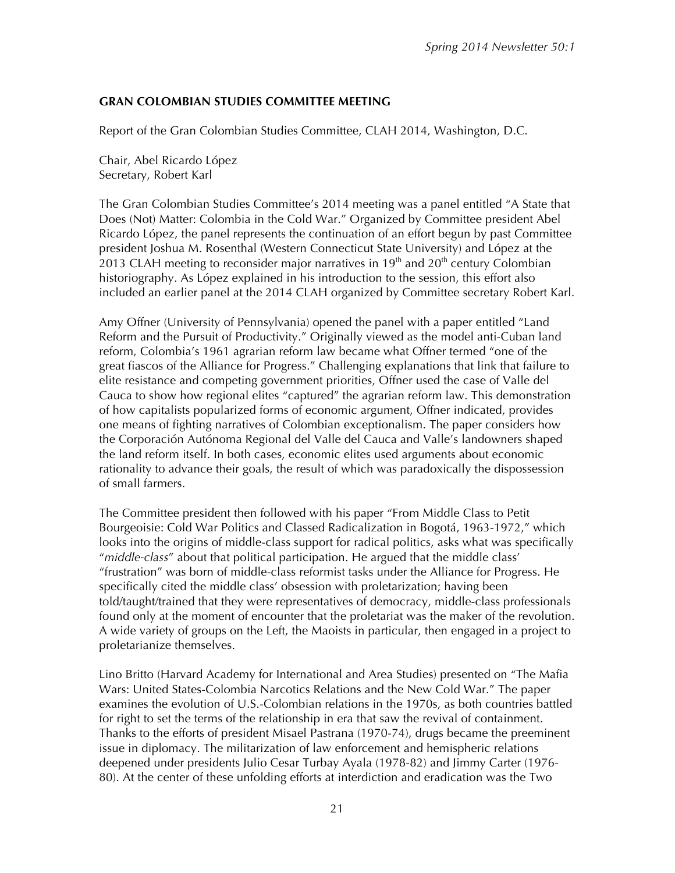#### **GRAN COLOMBIAN STUDIES COMMITTEE MEETING**

Report of the Gran Colombian Studies Committee, CLAH 2014, Washington, D.C.

Chair, Abel Ricardo López Secretary, Robert Karl

The Gran Colombian Studies Committee's 2014 meeting was a panel entitled "A State that Does (Not) Matter: Colombia in the Cold War." Organized by Committee president Abel Ricardo López, the panel represents the continuation of an effort begun by past Committee president Joshua M. Rosenthal (Western Connecticut State University) and López at the 2013 CLAH meeting to reconsider major narratives in 19<sup>th</sup> and 20<sup>th</sup> century Colombian historiography. As López explained in his introduction to the session, this effort also included an earlier panel at the 2014 CLAH organized by Committee secretary Robert Karl.

Amy Offner (University of Pennsylvania) opened the panel with a paper entitled "Land Reform and the Pursuit of Productivity." Originally viewed as the model anti-Cuban land reform, Colombia's 1961 agrarian reform law became what Offner termed "one of the great fiascos of the Alliance for Progress." Challenging explanations that link that failure to elite resistance and competing government priorities, Offner used the case of Valle del Cauca to show how regional elites "captured" the agrarian reform law. This demonstration of how capitalists popularized forms of economic argument, Offner indicated, provides one means of fighting narratives of Colombian exceptionalism. The paper considers how the Corporación Autónoma Regional del Valle del Cauca and Valle's landowners shaped the land reform itself. In both cases, economic elites used arguments about economic rationality to advance their goals, the result of which was paradoxically the dispossession of small farmers.

The Committee president then followed with his paper "From Middle Class to Petit Bourgeoisie: Cold War Politics and Classed Radicalization in Bogotá, 1963-1972," which looks into the origins of middle-class support for radical politics, asks what was specifically "*middle-class*" about that political participation. He argued that the middle class' "frustration" was born of middle-class reformist tasks under the Alliance for Progress. He specifically cited the middle class' obsession with proletarization; having been told/taught/trained that they were representatives of democracy, middle-class professionals found only at the moment of encounter that the proletariat was the maker of the revolution. A wide variety of groups on the Left, the Maoists in particular, then engaged in a project to proletarianize themselves.

Lino Britto (Harvard Academy for International and Area Studies) presented on "The Mafia Wars: United States-Colombia Narcotics Relations and the New Cold War." The paper examines the evolution of U.S.-Colombian relations in the 1970s, as both countries battled for right to set the terms of the relationship in era that saw the revival of containment. Thanks to the efforts of president Misael Pastrana (1970-74), drugs became the preeminent issue in diplomacy. The militarization of law enforcement and hemispheric relations deepened under presidents Julio Cesar Turbay Ayala (1978-82) and Jimmy Carter (1976- 80). At the center of these unfolding efforts at interdiction and eradication was the Two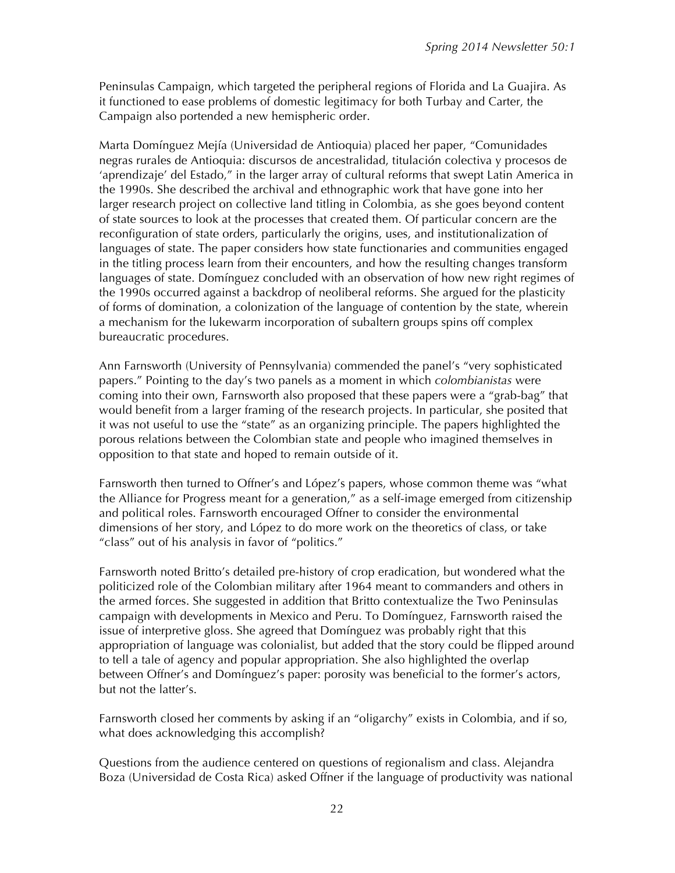Peninsulas Campaign, which targeted the peripheral regions of Florida and La Guajira. As it functioned to ease problems of domestic legitimacy for both Turbay and Carter, the Campaign also portended a new hemispheric order.

Marta Domínguez Mejía (Universidad de Antioquia) placed her paper, "Comunidades negras rurales de Antioquia: discursos de ancestralidad, titulación colectiva y procesos de 'aprendizaje' del Estado," in the larger array of cultural reforms that swept Latin America in the 1990s. She described the archival and ethnographic work that have gone into her larger research project on collective land titling in Colombia, as she goes beyond content of state sources to look at the processes that created them. Of particular concern are the reconfiguration of state orders, particularly the origins, uses, and institutionalization of languages of state. The paper considers how state functionaries and communities engaged in the titling process learn from their encounters, and how the resulting changes transform languages of state. Domínguez concluded with an observation of how new right regimes of the 1990s occurred against a backdrop of neoliberal reforms. She argued for the plasticity of forms of domination, a colonization of the language of contention by the state, wherein a mechanism for the lukewarm incorporation of subaltern groups spins off complex bureaucratic procedures.

Ann Farnsworth (University of Pennsylvania) commended the panel's "very sophisticated papers." Pointing to the day's two panels as a moment in which *colombianistas* were coming into their own, Farnsworth also proposed that these papers were a "grab-bag" that would benefit from a larger framing of the research projects. In particular, she posited that it was not useful to use the "state" as an organizing principle. The papers highlighted the porous relations between the Colombian state and people who imagined themselves in opposition to that state and hoped to remain outside of it.

Farnsworth then turned to Offner's and López's papers, whose common theme was "what the Alliance for Progress meant for a generation," as a self-image emerged from citizenship and political roles. Farnsworth encouraged Offner to consider the environmental dimensions of her story, and López to do more work on the theoretics of class, or take "class" out of his analysis in favor of "politics."

Farnsworth noted Britto's detailed pre-history of crop eradication, but wondered what the politicized role of the Colombian military after 1964 meant to commanders and others in the armed forces. She suggested in addition that Britto contextualize the Two Peninsulas campaign with developments in Mexico and Peru. To Domínguez, Farnsworth raised the issue of interpretive gloss. She agreed that Domínguez was probably right that this appropriation of language was colonialist, but added that the story could be flipped around to tell a tale of agency and popular appropriation. She also highlighted the overlap between Offner's and Domínguez's paper: porosity was beneficial to the former's actors, but not the latter's.

Farnsworth closed her comments by asking if an "oligarchy" exists in Colombia, and if so, what does acknowledging this accomplish?

Questions from the audience centered on questions of regionalism and class. Alejandra Boza (Universidad de Costa Rica) asked Offner if the language of productivity was national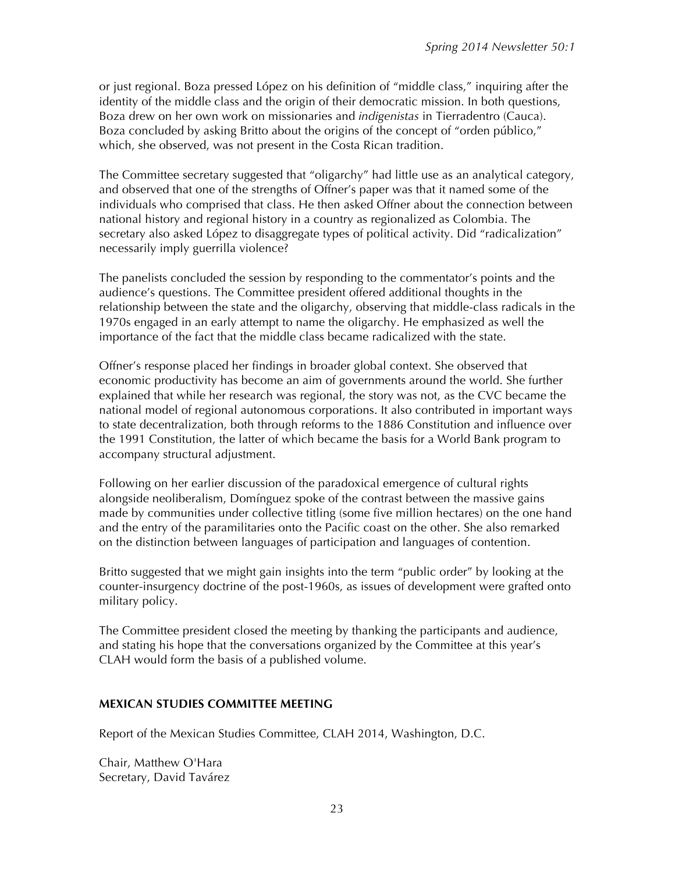or just regional. Boza pressed López on his definition of "middle class," inquiring after the identity of the middle class and the origin of their democratic mission. In both questions, Boza drew on her own work on missionaries and *indigenistas* in Tierradentro (Cauca). Boza concluded by asking Britto about the origins of the concept of "orden público," which, she observed, was not present in the Costa Rican tradition.

The Committee secretary suggested that "oligarchy" had little use as an analytical category, and observed that one of the strengths of Offner's paper was that it named some of the individuals who comprised that class. He then asked Offner about the connection between national history and regional history in a country as regionalized as Colombia. The secretary also asked López to disaggregate types of political activity. Did "radicalization" necessarily imply guerrilla violence?

The panelists concluded the session by responding to the commentator's points and the audience's questions. The Committee president offered additional thoughts in the relationship between the state and the oligarchy, observing that middle-class radicals in the 1970s engaged in an early attempt to name the oligarchy. He emphasized as well the importance of the fact that the middle class became radicalized with the state.

Offner's response placed her findings in broader global context. She observed that economic productivity has become an aim of governments around the world. She further explained that while her research was regional, the story was not, as the CVC became the national model of regional autonomous corporations. It also contributed in important ways to state decentralization, both through reforms to the 1886 Constitution and influence over the 1991 Constitution, the latter of which became the basis for a World Bank program to accompany structural adjustment.

Following on her earlier discussion of the paradoxical emergence of cultural rights alongside neoliberalism, Domínguez spoke of the contrast between the massive gains made by communities under collective titling (some five million hectares) on the one hand and the entry of the paramilitaries onto the Pacific coast on the other. She also remarked on the distinction between languages of participation and languages of contention.

Britto suggested that we might gain insights into the term "public order" by looking at the counter-insurgency doctrine of the post-1960s, as issues of development were grafted onto military policy.

The Committee president closed the meeting by thanking the participants and audience, and stating his hope that the conversations organized by the Committee at this year's CLAH would form the basis of a published volume.

#### **MEXICAN STUDIES COMMITTEE MEETING**

Report of the Mexican Studies Committee, CLAH 2014, Washington, D.C.

Chair, Matthew O'Hara Secretary, David Tavárez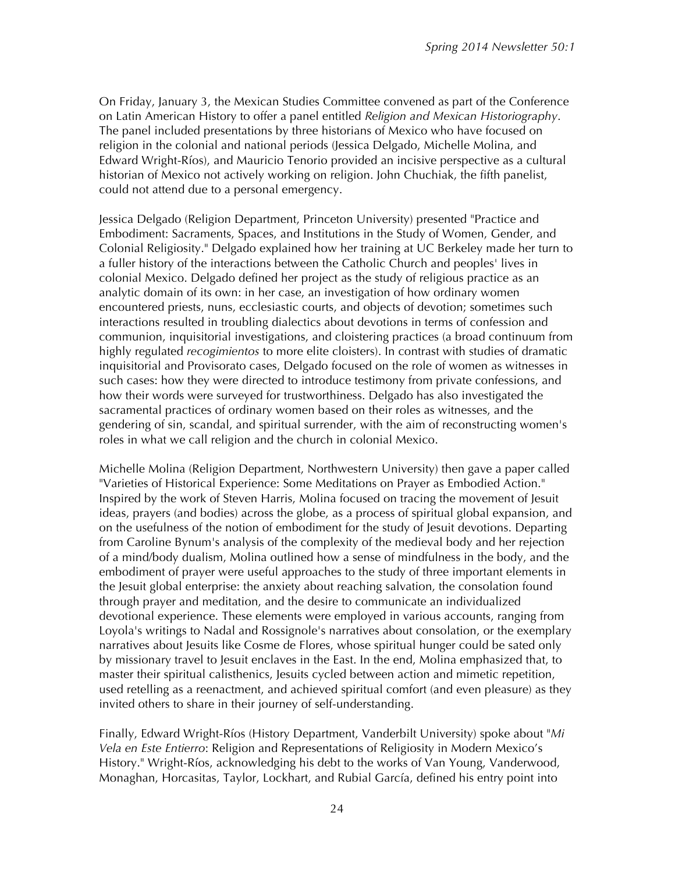On Friday, January 3, the Mexican Studies Committee convened as part of the Conference on Latin American History to offer a panel entitled *Religion and Mexican Historiography*. The panel included presentations by three historians of Mexico who have focused on religion in the colonial and national periods (Jessica Delgado, Michelle Molina, and Edward Wright-Ríos), and Mauricio Tenorio provided an incisive perspective as a cultural historian of Mexico not actively working on religion. John Chuchiak, the fifth panelist, could not attend due to a personal emergency.

Jessica Delgado (Religion Department, Princeton University) presented "Practice and Embodiment: Sacraments, Spaces, and Institutions in the Study of Women, Gender, and Colonial Religiosity." Delgado explained how her training at UC Berkeley made her turn to a fuller history of the interactions between the Catholic Church and peoples' lives in colonial Mexico. Delgado defined her project as the study of religious practice as an analytic domain of its own: in her case, an investigation of how ordinary women encountered priests, nuns, ecclesiastic courts, and objects of devotion; sometimes such interactions resulted in troubling dialectics about devotions in terms of confession and communion, inquisitorial investigations, and cloistering practices (a broad continuum from highly regulated *recogimientos* to more elite cloisters). In contrast with studies of dramatic inquisitorial and Provisorato cases, Delgado focused on the role of women as witnesses in such cases: how they were directed to introduce testimony from private confessions, and how their words were surveyed for trustworthiness. Delgado has also investigated the sacramental practices of ordinary women based on their roles as witnesses, and the gendering of sin, scandal, and spiritual surrender, with the aim of reconstructing women's roles in what we call religion and the church in colonial Mexico.

Michelle Molina (Religion Department, Northwestern University) then gave a paper called "Varieties of Historical Experience: Some Meditations on Prayer as Embodied Action." Inspired by the work of Steven Harris, Molina focused on tracing the movement of Jesuit ideas, prayers (and bodies) across the globe, as a process of spiritual global expansion, and on the usefulness of the notion of embodiment for the study of Jesuit devotions. Departing from Caroline Bynum's analysis of the complexity of the medieval body and her rejection of a mind/body dualism, Molina outlined how a sense of mindfulness in the body, and the embodiment of prayer were useful approaches to the study of three important elements in the Jesuit global enterprise: the anxiety about reaching salvation, the consolation found through prayer and meditation, and the desire to communicate an individualized devotional experience. These elements were employed in various accounts, ranging from Loyola's writings to Nadal and Rossignole's narratives about consolation, or the exemplary narratives about Jesuits like Cosme de Flores, whose spiritual hunger could be sated only by missionary travel to Jesuit enclaves in the East. In the end, Molina emphasized that, to master their spiritual calisthenics, Jesuits cycled between action and mimetic repetition, used retelling as a reenactment, and achieved spiritual comfort (and even pleasure) as they invited others to share in their journey of self-understanding.

Finally, Edward Wright-Ríos (History Department, Vanderbilt University) spoke about "*Mi Vela en Este Entierro*: Religion and Representations of Religiosity in Modern Mexico's History." Wright-Ríos, acknowledging his debt to the works of Van Young, Vanderwood, Monaghan, Horcasitas, Taylor, Lockhart, and Rubial García, defined his entry point into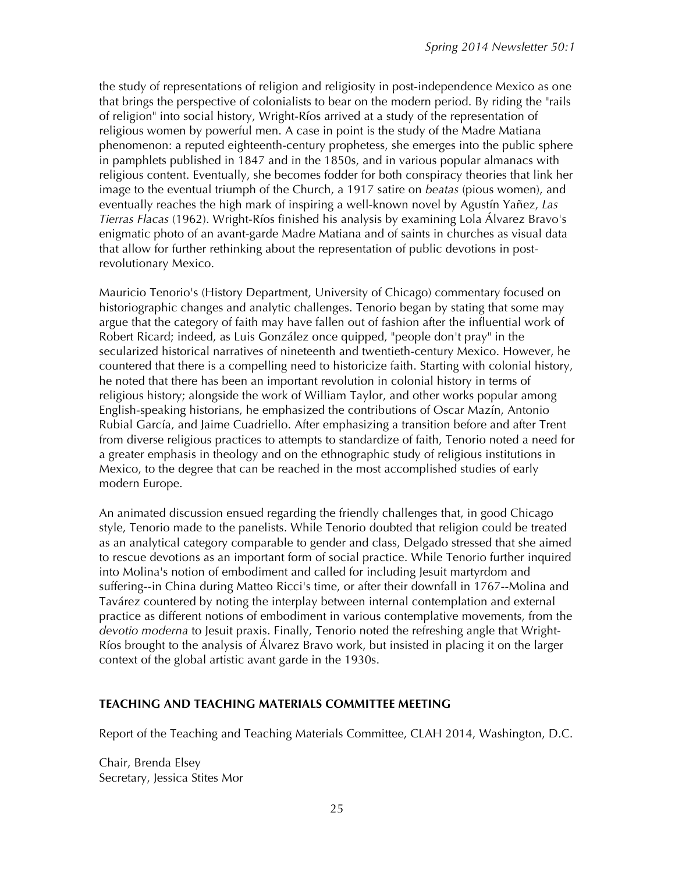the study of representations of religion and religiosity in post-independence Mexico as one that brings the perspective of colonialists to bear on the modern period. By riding the "rails of religion" into social history, Wright-Ríos arrived at a study of the representation of religious women by powerful men. A case in point is the study of the Madre Matiana phenomenon: a reputed eighteenth-century prophetess, she emerges into the public sphere in pamphlets published in 1847 and in the 1850s, and in various popular almanacs with religious content. Eventually, she becomes fodder for both conspiracy theories that link her image to the eventual triumph of the Church, a 1917 satire on *beatas* (pious women), and eventually reaches the high mark of inspiring a well-known novel by Agustín Yañez, *Las Tierras Flacas* (1962). Wright-Ríos finished his analysis by examining Lola Álvarez Bravo's enigmatic photo of an avant-garde Madre Matiana and of saints in churches as visual data that allow for further rethinking about the representation of public devotions in postrevolutionary Mexico.

Mauricio Tenorio's (History Department, University of Chicago) commentary focused on historiographic changes and analytic challenges. Tenorio began by stating that some may argue that the category of faith may have fallen out of fashion after the influential work of Robert Ricard; indeed, as Luis González once quipped, "people don't pray" in the secularized historical narratives of nineteenth and twentieth-century Mexico. However, he countered that there is a compelling need to historicize faith. Starting with colonial history, he noted that there has been an important revolution in colonial history in terms of religious history; alongside the work of William Taylor, and other works popular among English-speaking historians, he emphasized the contributions of Oscar Mazín, Antonio Rubial García, and Jaime Cuadriello. After emphasizing a transition before and after Trent from diverse religious practices to attempts to standardize of faith, Tenorio noted a need for a greater emphasis in theology and on the ethnographic study of religious institutions in Mexico, to the degree that can be reached in the most accomplished studies of early modern Europe.

An animated discussion ensued regarding the friendly challenges that, in good Chicago style, Tenorio made to the panelists. While Tenorio doubted that religion could be treated as an analytical category comparable to gender and class, Delgado stressed that she aimed to rescue devotions as an important form of social practice. While Tenorio further inquired into Molina's notion of embodiment and called for including Jesuit martyrdom and suffering--in China during Matteo Ricci's time, or after their downfall in 1767--Molina and Tavárez countered by noting the interplay between internal contemplation and external practice as different notions of embodiment in various contemplative movements, from the *devotio moderna* to Jesuit praxis. Finally, Tenorio noted the refreshing angle that Wright-Ríos brought to the analysis of Álvarez Bravo work, but insisted in placing it on the larger context of the global artistic avant garde in the 1930s.

#### **TEACHING AND TEACHING MATERIALS COMMITTEE MEETING**

Report of the Teaching and Teaching Materials Committee, CLAH 2014, Washington, D.C.

Chair, Brenda Elsey Secretary, Jessica Stites Mor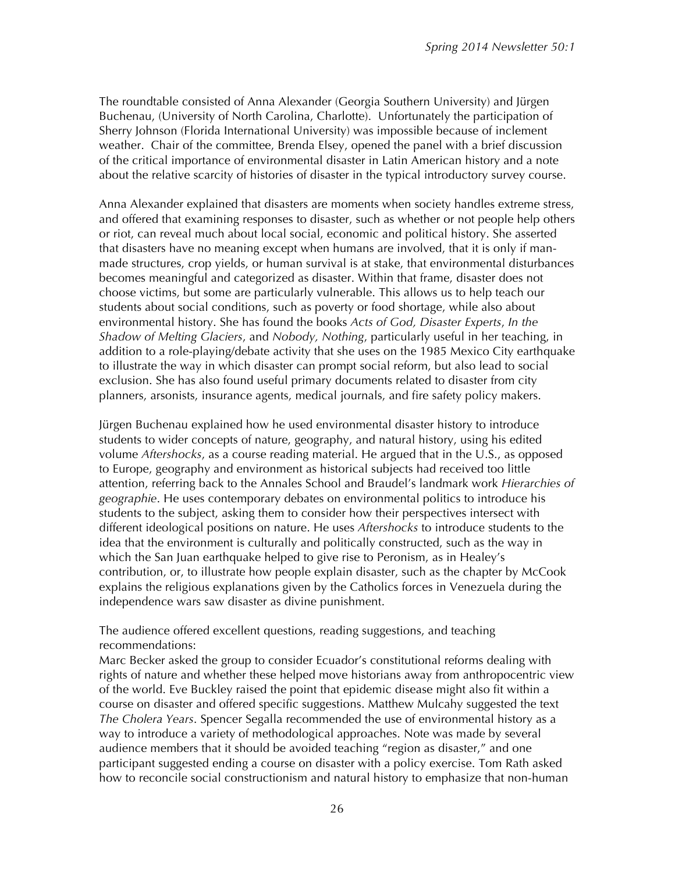The roundtable consisted of Anna Alexander (Georgia Southern University) and Jürgen Buchenau, (University of North Carolina, Charlotte). Unfortunately the participation of Sherry Johnson (Florida International University) was impossible because of inclement weather. Chair of the committee, Brenda Elsey, opened the panel with a brief discussion of the critical importance of environmental disaster in Latin American history and a note about the relative scarcity of histories of disaster in the typical introductory survey course.

Anna Alexander explained that disasters are moments when society handles extreme stress, and offered that examining responses to disaster, such as whether or not people help others or riot, can reveal much about local social, economic and political history. She asserted that disasters have no meaning except when humans are involved, that it is only if manmade structures, crop yields, or human survival is at stake, that environmental disturbances becomes meaningful and categorized as disaster. Within that frame, disaster does not choose victims, but some are particularly vulnerable. This allows us to help teach our students about social conditions, such as poverty or food shortage, while also about environmental history. She has found the books *Acts of God, Disaster Experts*, *In the Shadow of Melting Glaciers*, and *Nobody, Nothing*, particularly useful in her teaching, in addition to a role-playing/debate activity that she uses on the 1985 Mexico City earthquake to illustrate the way in which disaster can prompt social reform, but also lead to social exclusion. She has also found useful primary documents related to disaster from city planners, arsonists, insurance agents, medical journals, and fire safety policy makers.

Jürgen Buchenau explained how he used environmental disaster history to introduce students to wider concepts of nature, geography, and natural history, using his edited volume *Aftershocks*, as a course reading material. He argued that in the U.S., as opposed to Europe, geography and environment as historical subjects had received too little attention, referring back to the Annales School and Braudel's landmark work *Hierarchies of geographie*. He uses contemporary debates on environmental politics to introduce his students to the subject, asking them to consider how their perspectives intersect with different ideological positions on nature. He uses *Aftershocks* to introduce students to the idea that the environment is culturally and politically constructed, such as the way in which the San Juan earthquake helped to give rise to Peronism, as in Healey's contribution, or, to illustrate how people explain disaster, such as the chapter by McCook explains the religious explanations given by the Catholics forces in Venezuela during the independence wars saw disaster as divine punishment.

#### The audience offered excellent questions, reading suggestions, and teaching recommendations:

Marc Becker asked the group to consider Ecuador's constitutional reforms dealing with rights of nature and whether these helped move historians away from anthropocentric view of the world. Eve Buckley raised the point that epidemic disease might also fit within a course on disaster and offered specific suggestions. Matthew Mulcahy suggested the text *The Cholera Years*. Spencer Segalla recommended the use of environmental history as a way to introduce a variety of methodological approaches. Note was made by several audience members that it should be avoided teaching "region as disaster," and one participant suggested ending a course on disaster with a policy exercise. Tom Rath asked how to reconcile social constructionism and natural history to emphasize that non-human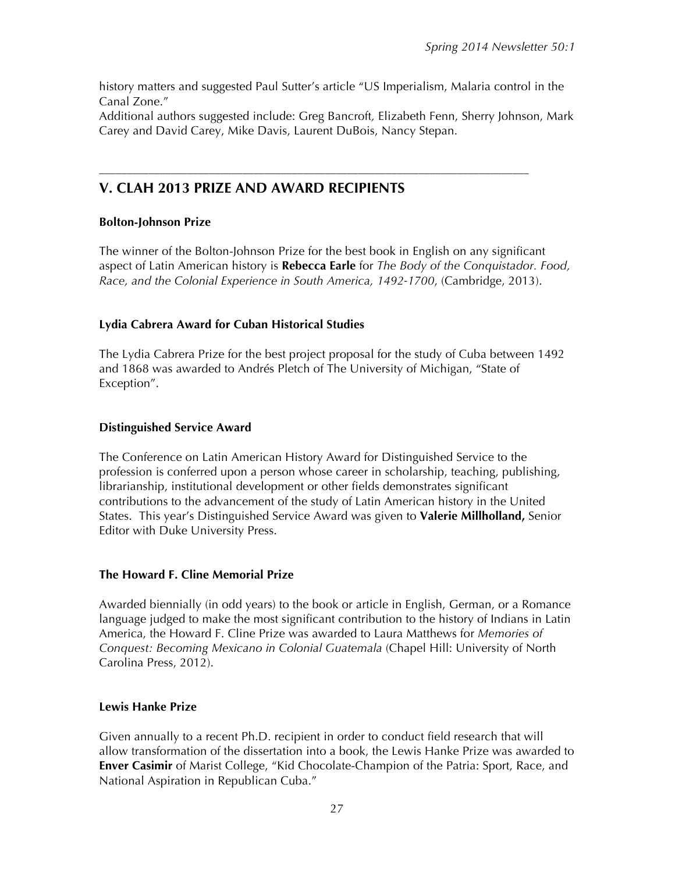history matters and suggested Paul Sutter's article "US Imperialism, Malaria control in the Canal Zone."

Additional authors suggested include: Greg Bancroft*,* Elizabeth Fenn, Sherry Johnson, Mark Carey and David Carey, Mike Davis, Laurent DuBois, Nancy Stepan.

––––––––––––––––––––––––––––––––––––––––––––––––––––––––––––––––––––––––––––––

## **V. CLAH 2013 PRIZE AND AWARD RECIPIENTS**

#### **Bolton-Johnson Prize**

The winner of the Bolton-Johnson Prize for the best book in English on any significant aspect of Latin American history is **Rebecca Earle** for *The Body of the Conquistador. Food, Race, and the Colonial Experience in South America, 1492-1700*, (Cambridge, 2013).

#### **Lydia Cabrera Award for Cuban Historical Studies**

The Lydia Cabrera Prize for the best project proposal for the study of Cuba between 1492 and 1868 was awarded to Andrés Pletch of The University of Michigan, "State of Exception".

#### **Distinguished Service Award**

The Conference on Latin American History Award for Distinguished Service to the profession is conferred upon a person whose career in scholarship, teaching, publishing, librarianship, institutional development or other fields demonstrates significant contributions to the advancement of the study of Latin American history in the United States. This year's Distinguished Service Award was given to **Valerie Millholland,** Senior Editor with Duke University Press.

#### **The Howard F. Cline Memorial Prize**

Awarded biennially (in odd years) to the book or article in English, German, or a Romance language judged to make the most significant contribution to the history of Indians in Latin America, the Howard F. Cline Prize was awarded to Laura Matthews for *Memories of Conquest: Becoming Mexicano in Colonial Guatemala* (Chapel Hill: University of North Carolina Press, 2012).

#### **Lewis Hanke Prize**

Given annually to a recent Ph.D. recipient in order to conduct field research that will allow transformation of the dissertation into a book, the Lewis Hanke Prize was awarded to **Enver Casimir** of Marist College, "Kid Chocolate-Champion of the Patria: Sport, Race, and National Aspiration in Republican Cuba."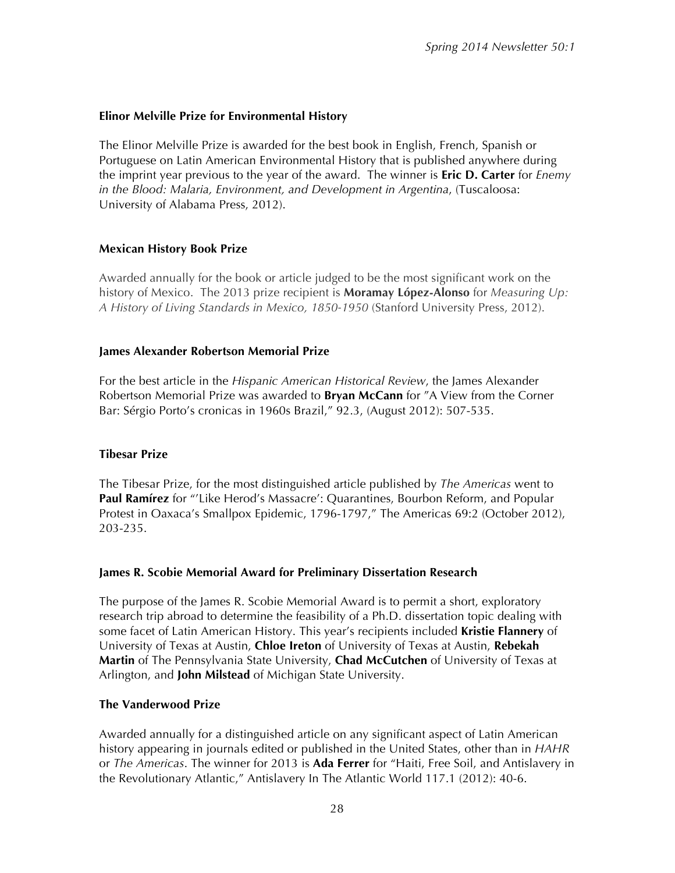#### **Elinor Melville Prize for Environmental History**

The Elinor Melville Prize is awarded for the best book in English, French, Spanish or Portuguese on Latin American Environmental History that is published anywhere during the imprint year previous to the year of the award. The winner is **Eric D. Carter** for *Enemy in the Blood: Malaria, Environment, and Development in Argentina*, (Tuscaloosa: University of Alabama Press, 2012).

#### **Mexican History Book Prize**

Awarded annually for the book or article judged to be the most significant work on the history of Mexico. The 2013 prize recipient is **Moramay López-Alonso** for *Measuring Up: A History of Living Standards in Mexico, 1850-1950* (Stanford University Press, 2012).

#### **James Alexander Robertson Memorial Prize**

For the best article in the *Hispanic American Historical Review*, the James Alexander Robertson Memorial Prize was awarded to **Bryan McCann** for "A View from the Corner Bar: Sérgio Porto's cronicas in 1960s Brazil," 92.3, (August 2012): 507-535.

#### **Tibesar Prize**

The Tibesar Prize, for the most distinguished article published by *The Americas* went to **Paul Ramírez** for "'Like Herod's Massacre': Quarantines, Bourbon Reform, and Popular Protest in Oaxaca's Smallpox Epidemic, 1796-1797," The Americas 69:2 (October 2012), 203-235.

#### **James R. Scobie Memorial Award for Preliminary Dissertation Research**

The purpose of the James R. Scobie Memorial Award is to permit a short, exploratory research trip abroad to determine the feasibility of a Ph.D. dissertation topic dealing with some facet of Latin American History. This year's recipients included **Kristie Flannery** of University of Texas at Austin, **Chloe Ireton** of University of Texas at Austin, **Rebekah Martin** of The Pennsylvania State University, **Chad McCutchen** of University of Texas at Arlington, and **John Milstead** of Michigan State University.

#### **The Vanderwood Prize**

Awarded annually for a distinguished article on any significant aspect of Latin American history appearing in journals edited or published in the United States, other than in *HAHR* or *The Americas*. The winner for 2013 is **Ada Ferrer** for "Haiti, Free Soil, and Antislavery in the Revolutionary Atlantic," Antislavery In The Atlantic World 117.1 (2012): 40-6.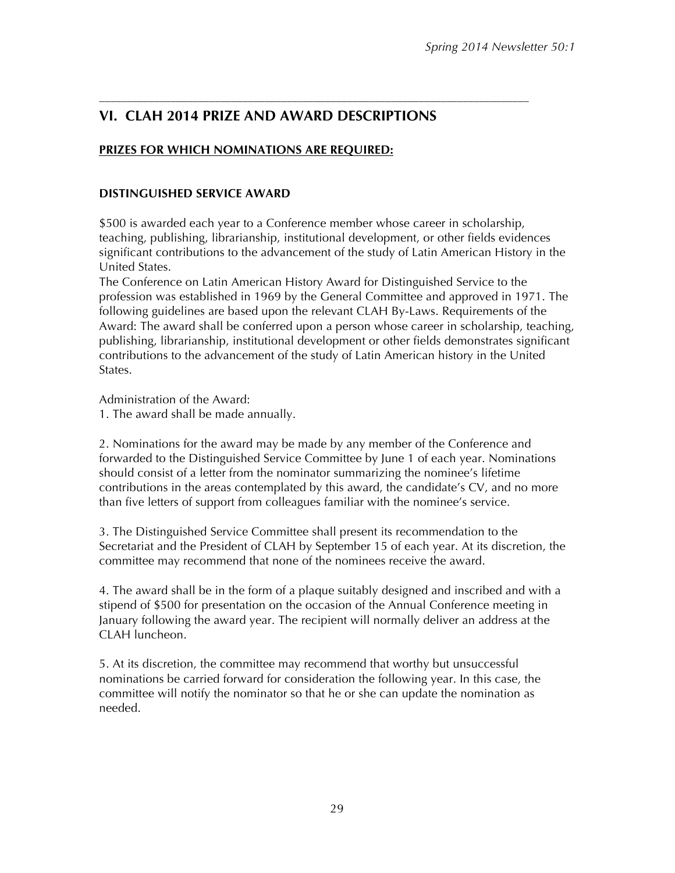## **VI. CLAH 2014 PRIZE AND AWARD DESCRIPTIONS**

––––––––––––––––––––––––––––––––––––––––––––––––––––––––––––––––––––––––––––––

### **PRIZES FOR WHICH NOMINATIONS ARE REQUIRED:**

#### **DISTINGUISHED SERVICE AWARD**

\$500 is awarded each year to a Conference member whose career in scholarship, teaching, publishing, librarianship, institutional development, or other fields evidences significant contributions to the advancement of the study of Latin American History in the United States.

The Conference on Latin American History Award for Distinguished Service to the profession was established in 1969 by the General Committee and approved in 1971. The following guidelines are based upon the relevant CLAH By-Laws. Requirements of the Award: The award shall be conferred upon a person whose career in scholarship, teaching, publishing, librarianship, institutional development or other fields demonstrates significant contributions to the advancement of the study of Latin American history in the United States.

Administration of the Award:

1. The award shall be made annually.

2. Nominations for the award may be made by any member of the Conference and forwarded to the Distinguished Service Committee by June 1 of each year. Nominations should consist of a letter from the nominator summarizing the nominee's lifetime contributions in the areas contemplated by this award, the candidate's CV, and no more than five letters of support from colleagues familiar with the nominee's service.

3. The Distinguished Service Committee shall present its recommendation to the Secretariat and the President of CLAH by September 15 of each year. At its discretion, the committee may recommend that none of the nominees receive the award.

4. The award shall be in the form of a plaque suitably designed and inscribed and with a stipend of \$500 for presentation on the occasion of the Annual Conference meeting in January following the award year. The recipient will normally deliver an address at the CLAH luncheon.

5. At its discretion, the committee may recommend that worthy but unsuccessful nominations be carried forward for consideration the following year. In this case, the committee will notify the nominator so that he or she can update the nomination as needed.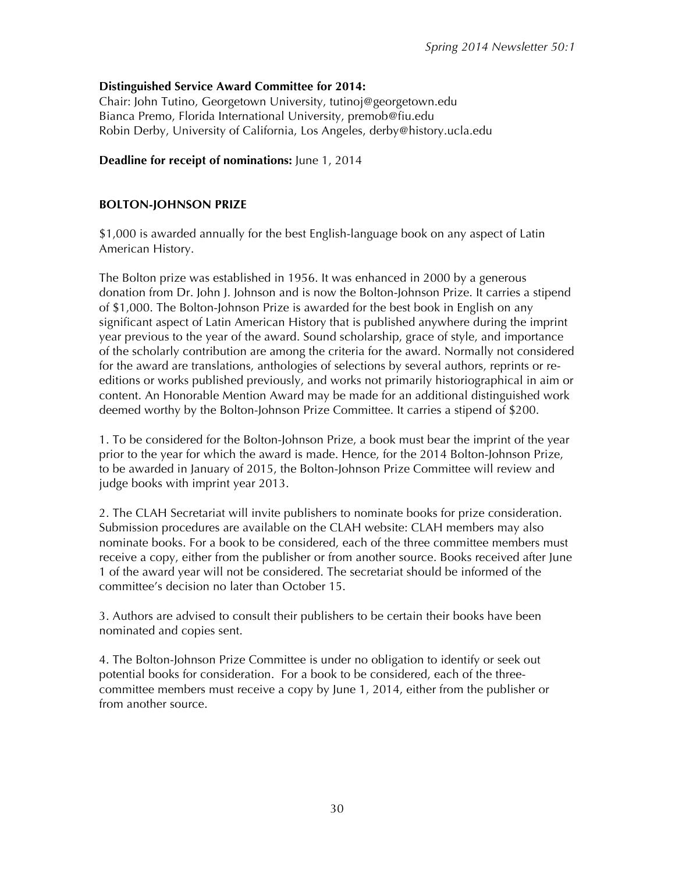#### **Distinguished Service Award Committee for 2014:**

Chair: John Tutino, Georgetown University, tutinoj@georgetown.edu Bianca Premo, Florida International University, premob@fiu.edu Robin Derby, University of California, Los Angeles, derby@history.ucla.edu

#### **Deadline for receipt of nominations:** June 1, 2014

#### **BOLTON-JOHNSON PRIZE**

\$1,000 is awarded annually for the best English-language book on any aspect of Latin American History.

The Bolton prize was established in 1956. It was enhanced in 2000 by a generous donation from Dr. John J. Johnson and is now the Bolton-Johnson Prize. It carries a stipend of \$1,000. The Bolton-Johnson Prize is awarded for the best book in English on any significant aspect of Latin American History that is published anywhere during the imprint year previous to the year of the award. Sound scholarship, grace of style, and importance of the scholarly contribution are among the criteria for the award. Normally not considered for the award are translations, anthologies of selections by several authors, reprints or reeditions or works published previously, and works not primarily historiographical in aim or content. An Honorable Mention Award may be made for an additional distinguished work deemed worthy by the Bolton-Johnson Prize Committee. It carries a stipend of \$200.

1. To be considered for the Bolton-Johnson Prize, a book must bear the imprint of the year prior to the year for which the award is made. Hence, for the 2014 Bolton-Johnson Prize, to be awarded in January of 2015, the Bolton-Johnson Prize Committee will review and judge books with imprint year 2013.

2. The CLAH Secretariat will invite publishers to nominate books for prize consideration. Submission procedures are available on the CLAH website: CLAH members may also nominate books. For a book to be considered, each of the three committee members must receive a copy, either from the publisher or from another source. Books received after June 1 of the award year will not be considered. The secretariat should be informed of the committee's decision no later than October 15.

3. Authors are advised to consult their publishers to be certain their books have been nominated and copies sent.

4. The Bolton-Johnson Prize Committee is under no obligation to identify or seek out potential books for consideration. For a book to be considered, each of the threecommittee members must receive a copy by June 1, 2014, either from the publisher or from another source.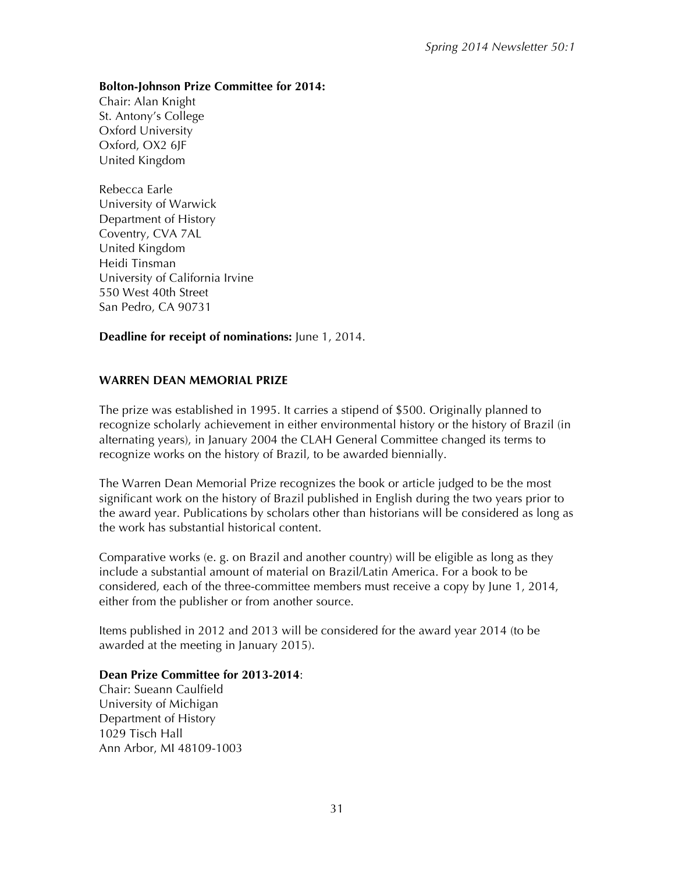#### **Bolton-Johnson Prize Committee for 2014:**

Chair: Alan Knight St. Antony's College Oxford University Oxford, OX2 6JF United Kingdom

Rebecca Earle University of Warwick Department of History Coventry, CVA 7AL United Kingdom Heidi Tinsman University of California Irvine 550 West 40th Street San Pedro, CA 90731

**Deadline for receipt of nominations:** June 1, 2014.

#### **WARREN DEAN MEMORIAL PRIZE**

The prize was established in 1995. It carries a stipend of \$500. Originally planned to recognize scholarly achievement in either environmental history or the history of Brazil (in alternating years), in January 2004 the CLAH General Committee changed its terms to recognize works on the history of Brazil, to be awarded biennially.

The Warren Dean Memorial Prize recognizes the book or article judged to be the most significant work on the history of Brazil published in English during the two years prior to the award year. Publications by scholars other than historians will be considered as long as the work has substantial historical content.

Comparative works (e. g. on Brazil and another country) will be eligible as long as they include a substantial amount of material on Brazil/Latin America. For a book to be considered, each of the three-committee members must receive a copy by June 1, 2014, either from the publisher or from another source.

Items published in 2012 and 2013 will be considered for the award year 2014 (to be awarded at the meeting in January 2015).

#### **Dean Prize Committee for 2013-2014**:

Chair: Sueann Caulfield University of Michigan Department of History 1029 Tisch Hall Ann Arbor, MI 48109-1003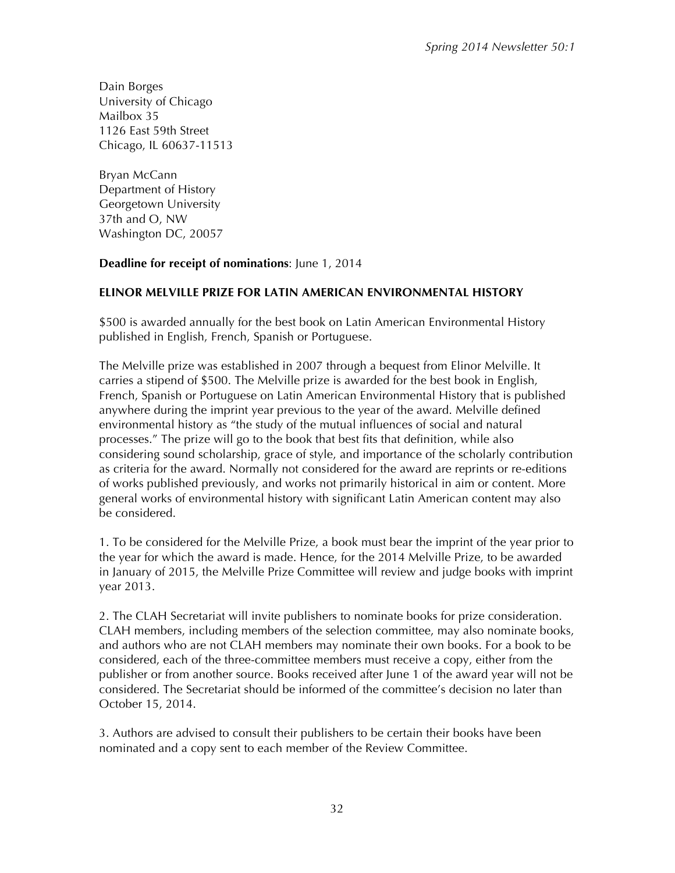Dain Borges University of Chicago Mailbox 35 1126 East 59th Street Chicago, IL 60637-11513

Bryan McCann Department of History Georgetown University 37th and O, NW Washington DC, 20057

#### **Deadline for receipt of nominations**: June 1, 2014

#### **ELINOR MELVILLE PRIZE FOR LATIN AMERICAN ENVIRONMENTAL HISTORY**

\$500 is awarded annually for the best book on Latin American Environmental History published in English, French, Spanish or Portuguese.

The Melville prize was established in 2007 through a bequest from Elinor Melville. It carries a stipend of \$500. The Melville prize is awarded for the best book in English, French, Spanish or Portuguese on Latin American Environmental History that is published anywhere during the imprint year previous to the year of the award. Melville defined environmental history as "the study of the mutual influences of social and natural processes." The prize will go to the book that best fits that definition, while also considering sound scholarship, grace of style, and importance of the scholarly contribution as criteria for the award. Normally not considered for the award are reprints or re-editions of works published previously, and works not primarily historical in aim or content. More general works of environmental history with significant Latin American content may also be considered.

1. To be considered for the Melville Prize, a book must bear the imprint of the year prior to the year for which the award is made. Hence, for the 2014 Melville Prize, to be awarded in January of 2015, the Melville Prize Committee will review and judge books with imprint year 2013.

2. The CLAH Secretariat will invite publishers to nominate books for prize consideration. CLAH members, including members of the selection committee, may also nominate books, and authors who are not CLAH members may nominate their own books. For a book to be considered, each of the three-committee members must receive a copy, either from the publisher or from another source. Books received after June 1 of the award year will not be considered. The Secretariat should be informed of the committee's decision no later than October 15, 2014.

3. Authors are advised to consult their publishers to be certain their books have been nominated and a copy sent to each member of the Review Committee.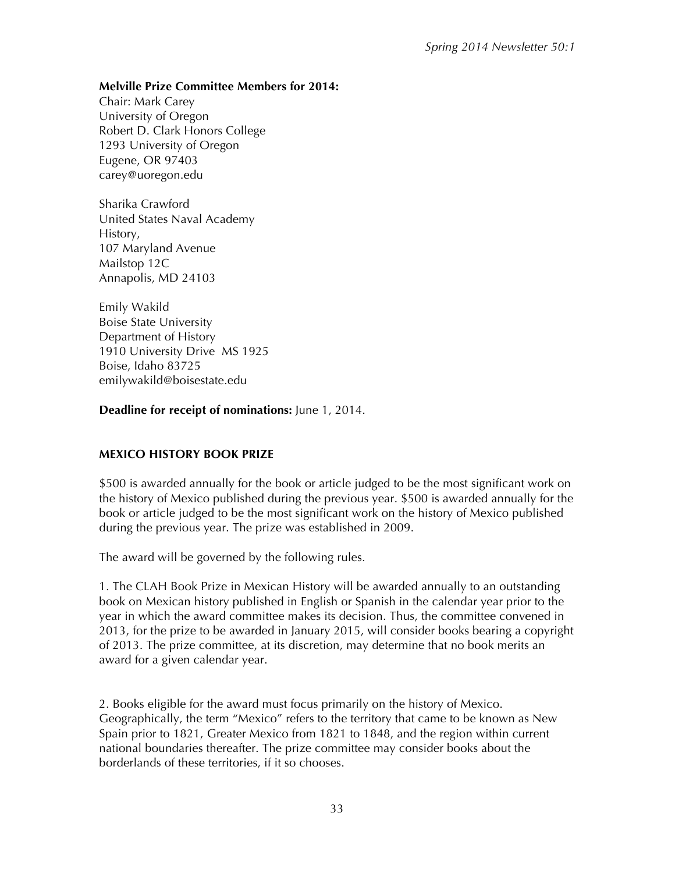#### **Melville Prize Committee Members for 2014:**

Chair: Mark Carey University of Oregon Robert D. Clark Honors College 1293 University of Oregon Eugene, OR 97403 carey@uoregon.edu

Sharika Crawford United States Naval Academy History, 107 Maryland Avenue Mailstop 12C Annapolis, MD 24103

Emily Wakild Boise State University Department of History 1910 University Drive MS 1925 Boise, Idaho 83725 emilywakild@boisestate.edu

**Deadline for receipt of nominations:** June 1, 2014.

#### **MEXICO HISTORY BOOK PRIZE**

\$500 is awarded annually for the book or article judged to be the most significant work on the history of Mexico published during the previous year. \$500 is awarded annually for the book or article judged to be the most significant work on the history of Mexico published during the previous year. The prize was established in 2009.

The award will be governed by the following rules.

1. The CLAH Book Prize in Mexican History will be awarded annually to an outstanding book on Mexican history published in English or Spanish in the calendar year prior to the year in which the award committee makes its decision. Thus, the committee convened in 2013, for the prize to be awarded in January 2015, will consider books bearing a copyright of 2013. The prize committee, at its discretion, may determine that no book merits an award for a given calendar year.

2. Books eligible for the award must focus primarily on the history of Mexico. Geographically, the term "Mexico" refers to the territory that came to be known as New Spain prior to 1821, Greater Mexico from 1821 to 1848, and the region within current national boundaries thereafter. The prize committee may consider books about the borderlands of these territories, if it so chooses.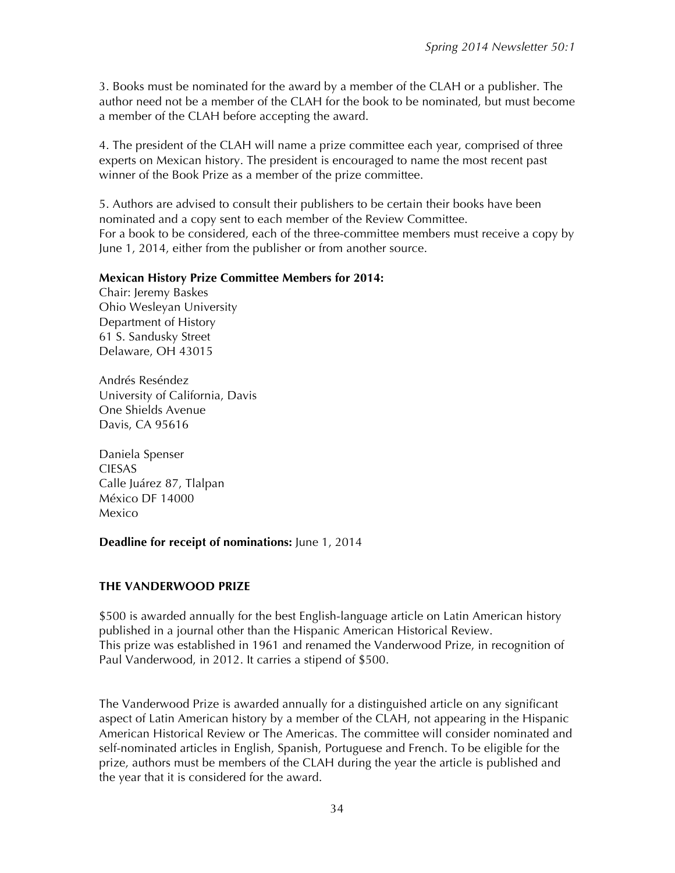3. Books must be nominated for the award by a member of the CLAH or a publisher. The author need not be a member of the CLAH for the book to be nominated, but must become a member of the CLAH before accepting the award.

4. The president of the CLAH will name a prize committee each year, comprised of three experts on Mexican history. The president is encouraged to name the most recent past winner of the Book Prize as a member of the prize committee.

5. Authors are advised to consult their publishers to be certain their books have been nominated and a copy sent to each member of the Review Committee. For a book to be considered, each of the three-committee members must receive a copy by June 1, 2014, either from the publisher or from another source.

#### **Mexican History Prize Committee Members for 2014:**

Chair: Jeremy Baskes Ohio Wesleyan University Department of History 61 S. Sandusky Street Delaware, OH 43015

Andrés Reséndez University of California, Davis One Shields Avenue Davis, CA 95616

Daniela Spenser CIESAS Calle Juárez 87, Tlalpan México DF 14000 Mexico

#### **Deadline for receipt of nominations:** June 1, 2014

#### **THE VANDERWOOD PRIZE**

\$500 is awarded annually for the best English-language article on Latin American history published in a journal other than the Hispanic American Historical Review. This prize was established in 1961 and renamed the Vanderwood Prize, in recognition of Paul Vanderwood, in 2012. It carries a stipend of \$500.

The Vanderwood Prize is awarded annually for a distinguished article on any significant aspect of Latin American history by a member of the CLAH, not appearing in the Hispanic American Historical Review or The Americas. The committee will consider nominated and self-nominated articles in English, Spanish, Portuguese and French. To be eligible for the prize, authors must be members of the CLAH during the year the article is published and the year that it is considered for the award.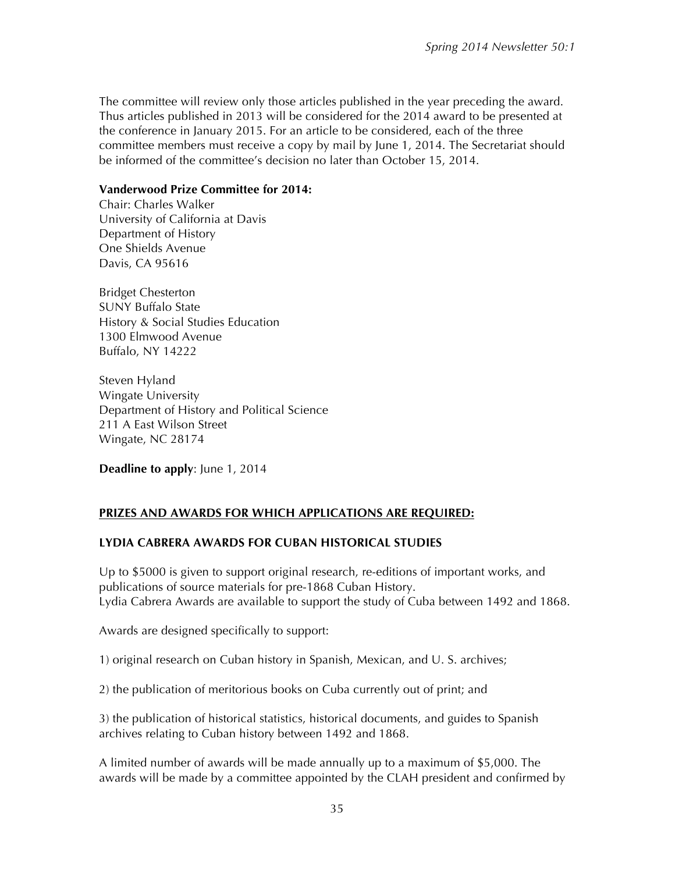The committee will review only those articles published in the year preceding the award. Thus articles published in 2013 will be considered for the 2014 award to be presented at the conference in January 2015. For an article to be considered, each of the three committee members must receive a copy by mail by June 1, 2014. The Secretariat should be informed of the committee's decision no later than October 15, 2014.

#### **Vanderwood Prize Committee for 2014:**

Chair: Charles Walker University of California at Davis Department of History One Shields Avenue Davis, CA 95616

Bridget Chesterton SUNY Buffalo State History & Social Studies Education 1300 Elmwood Avenue Buffalo, NY 14222

Steven Hyland Wingate University Department of History and Political Science 211 A East Wilson Street Wingate, NC 28174

**Deadline to apply**: June 1, 2014

#### **PRIZES AND AWARDS FOR WHICH APPLICATIONS ARE REQUIRED:**

#### **LYDIA CABRERA AWARDS FOR CUBAN HISTORICAL STUDIES**

Up to \$5000 is given to support original research, re-editions of important works, and publications of source materials for pre-1868 Cuban History. Lydia Cabrera Awards are available to support the study of Cuba between 1492 and 1868.

Awards are designed specifically to support:

1) original research on Cuban history in Spanish, Mexican, and U. S. archives;

2) the publication of meritorious books on Cuba currently out of print; and

3) the publication of historical statistics, historical documents, and guides to Spanish archives relating to Cuban history between 1492 and 1868.

A limited number of awards will be made annually up to a maximum of \$5,000. The awards will be made by a committee appointed by the CLAH president and confirmed by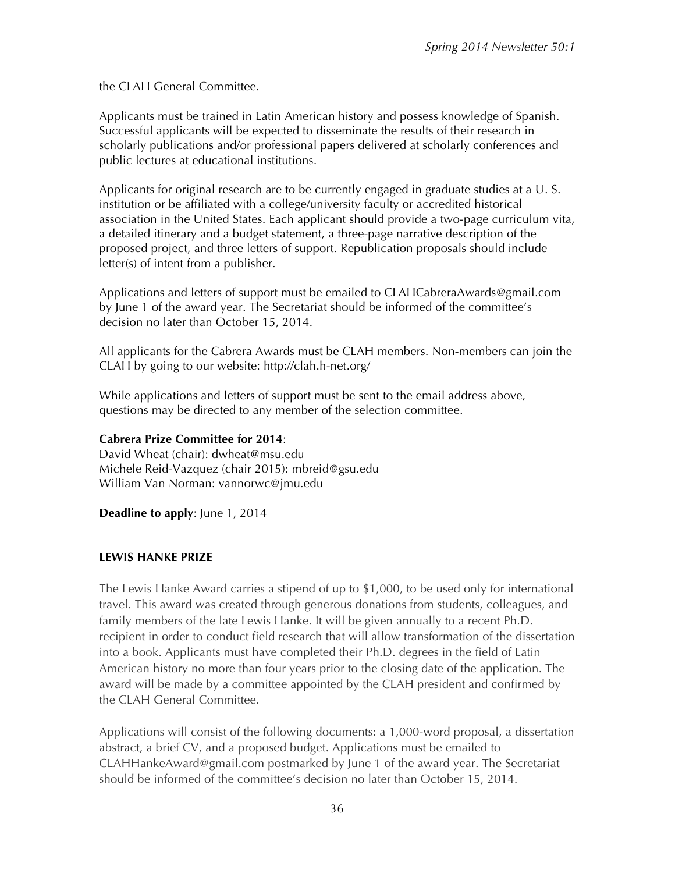the CLAH General Committee.

Applicants must be trained in Latin American history and possess knowledge of Spanish. Successful applicants will be expected to disseminate the results of their research in scholarly publications and/or professional papers delivered at scholarly conferences and public lectures at educational institutions.

Applicants for original research are to be currently engaged in graduate studies at a U. S. institution or be affiliated with a college/university faculty or accredited historical association in the United States. Each applicant should provide a two-page curriculum vita, a detailed itinerary and a budget statement, a three-page narrative description of the proposed project, and three letters of support. Republication proposals should include letter(s) of intent from a publisher.

Applications and letters of support must be emailed to CLAHCabreraAwards@gmail.com by June 1 of the award year. The Secretariat should be informed of the committee's decision no later than October 15, 2014.

All applicants for the Cabrera Awards must be CLAH members. Non-members can join the CLAH by going to our website: http://clah.h-net.org/

While applications and letters of support must be sent to the email address above, questions may be directed to any member of the selection committee.

#### **Cabrera Prize Committee for 2014**:

David Wheat (chair): dwheat@msu.edu Michele Reid-Vazquez (chair 2015): mbreid@gsu.edu William Van Norman: vannorwc@jmu.edu

**Deadline to apply**: June 1, 2014

#### **LEWIS HANKE PRIZE**

The Lewis Hanke Award carries a stipend of up to \$1,000, to be used only for international travel. This award was created through generous donations from students, colleagues, and family members of the late Lewis Hanke. It will be given annually to a recent Ph.D. recipient in order to conduct field research that will allow transformation of the dissertation into a book. Applicants must have completed their Ph.D. degrees in the field of Latin American history no more than four years prior to the closing date of the application. The award will be made by a committee appointed by the CLAH president and confirmed by the CLAH General Committee.

Applications will consist of the following documents: a 1,000-word proposal, a dissertation abstract, a brief CV, and a proposed budget. Applications must be emailed to CLAHHankeAward@gmail.com postmarked by June 1 of the award year. The Secretariat should be informed of the committee's decision no later than October 15, 2014.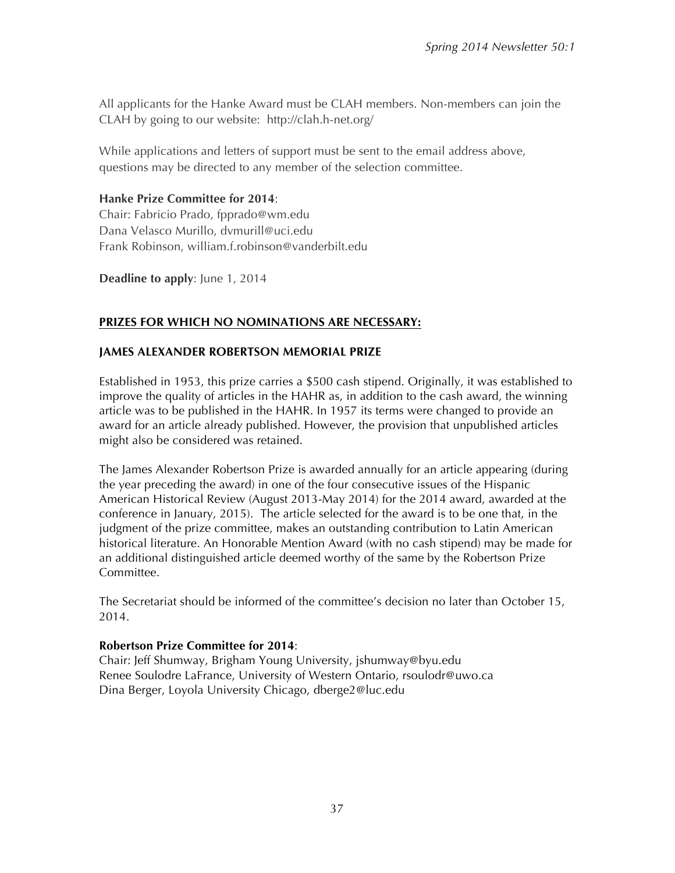All applicants for the Hanke Award must be CLAH members. Non-members can join the CLAH by going to our website: http://clah.h-net.org/

While applications and letters of support must be sent to the email address above, questions may be directed to any member of the selection committee.

## **Hanke Prize Committee for 2014**:

Chair: Fabricio Prado, fpprado@wm.edu Dana Velasco Murillo, dvmurill@uci.edu Frank Robinson, william.f.robinson@vanderbilt.edu

**Deadline to apply**: June 1, 2014

## **PRIZES FOR WHICH NO NOMINATIONS ARE NECESSARY:**

### **JAMES ALEXANDER ROBERTSON MEMORIAL PRIZE**

Established in 1953, this prize carries a \$500 cash stipend. Originally, it was established to improve the quality of articles in the HAHR as, in addition to the cash award, the winning article was to be published in the HAHR. In 1957 its terms were changed to provide an award for an article already published. However, the provision that unpublished articles might also be considered was retained.

The James Alexander Robertson Prize is awarded annually for an article appearing (during the year preceding the award) in one of the four consecutive issues of the Hispanic American Historical Review (August 2013-May 2014) for the 2014 award, awarded at the conference in January, 2015). The article selected for the award is to be one that, in the judgment of the prize committee, makes an outstanding contribution to Latin American historical literature. An Honorable Mention Award (with no cash stipend) may be made for an additional distinguished article deemed worthy of the same by the Robertson Prize Committee.

The Secretariat should be informed of the committee's decision no later than October 15, 2014.

#### **Robertson Prize Committee for 2014**:

Chair: Jeff Shumway, Brigham Young University, jshumway@byu.edu Renee Soulodre LaFrance, University of Western Ontario, rsoulodr@uwo.ca Dina Berger, Loyola University Chicago, dberge2@luc.edu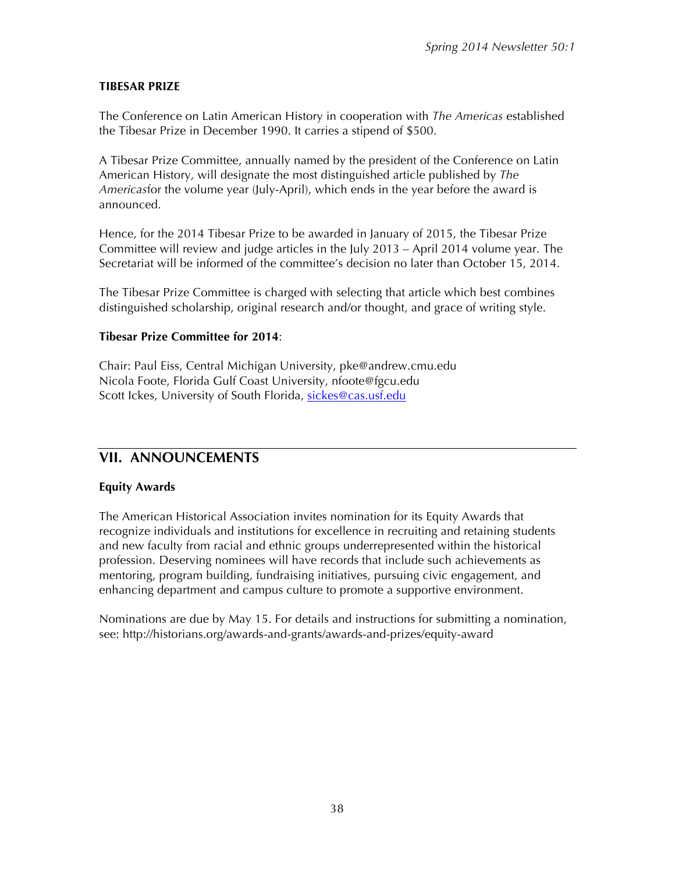#### **TIBESAR PRIZE**

The Conference on Latin American History in cooperation with *The Americas* established the Tibesar Prize in December 1990. It carries a stipend of \$500.

A Tibesar Prize Committee, annually named by the president of the Conference on Latin American History, will designate the most distinguished article published by *The Americas*for the volume year (July-April), which ends in the year before the award is announced.

Hence, for the 2014 Tibesar Prize to be awarded in January of 2015, the Tibesar Prize Committee will review and judge articles in the July 2013 – April 2014 volume year. The Secretariat will be informed of the committee's decision no later than October 15, 2014.

The Tibesar Prize Committee is charged with selecting that article which best combines distinguished scholarship, original research and/or thought, and grace of writing style.

#### **Tibesar Prize Committee for 2014**:

Chair: Paul Eiss, Central Michigan University, pke@andrew.cmu.edu Nicola Foote, Florida Gulf Coast University, nfoote@fgcu.edu Scott Ickes, University of South Florida, sickes@cas.usf.edu

## **VII. ANNOUNCEMENTS**

#### **Equity Awards**

The American Historical Association invites nomination for its Equity Awards that recognize individuals and institutions for excellence in recruiting and retaining students and new faculty from racial and ethnic groups underrepresented within the historical profession. Deserving nominees will have records that include such achievements as mentoring, program building, fundraising initiatives, pursuing civic engagement, and enhancing department and campus culture to promote a supportive environment.

Nominations are due by May 15. For details and instructions for submitting a nomination, see: http://historians.org/awards-and-grants/awards-and-prizes/equity-award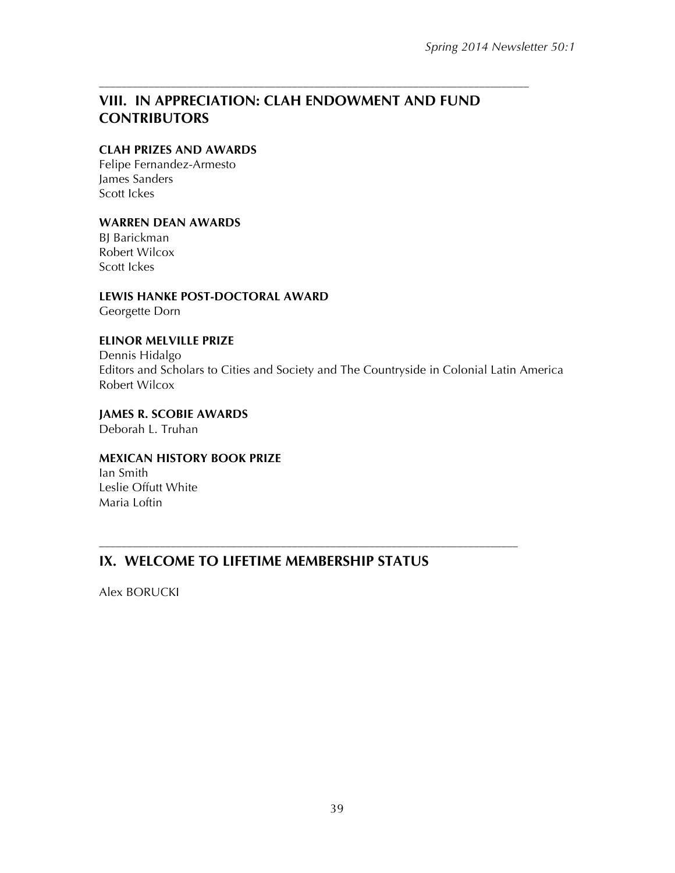### –––––––––––––––––––––––––––––––––––––––––––––––––––––––––––––––––––––––––––––– **VIII. IN APPRECIATION: CLAH ENDOWMENT AND FUND CONTRIBUTORS**

#### **CLAH PRIZES AND AWARDS**

Felipe Fernandez-Armesto James Sanders Scott Ickes

#### **WARREN DEAN AWARDS**

BJ Barickman Robert Wilcox Scott Ickes

**LEWIS HANKE POST-DOCTORAL AWARD** Georgette Dorn

#### **ELINOR MELVILLE PRIZE**

Dennis Hidalgo Editors and Scholars to Cities and Society and The Countryside in Colonial Latin America Robert Wilcox

**JAMES R. SCOBIE AWARDS** Deborah L. Truhan

#### **MEXICAN HISTORY BOOK PRIZE**

Ian Smith Leslie Offutt White Maria Loftin

## **IX. WELCOME TO LIFETIME MEMBERSHIP STATUS**

––––––––––––––––––––––––––––––––––––––––––––––––––––––––––––––––––––––––––––

Alex BORUCKI